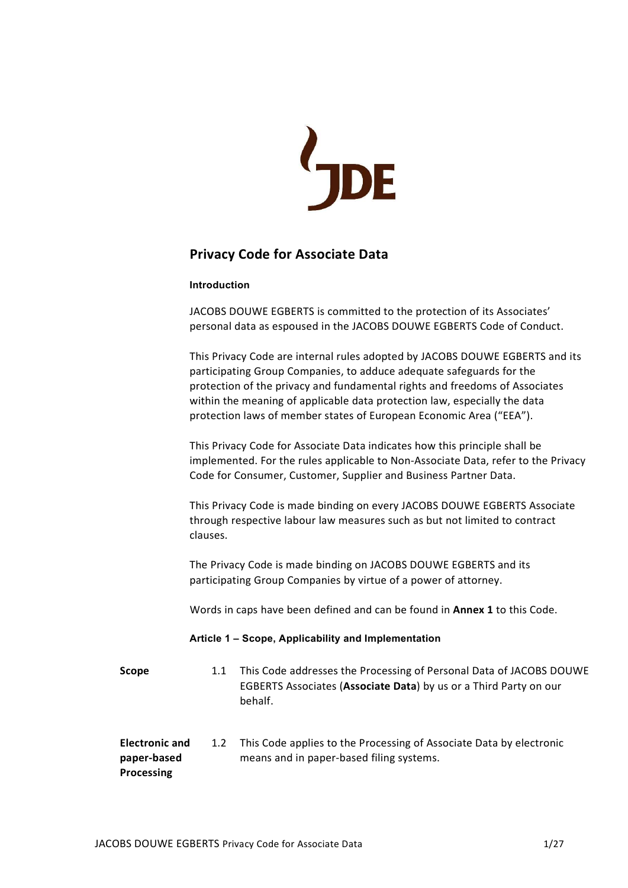

# Privacy Code for Associate Data

## Introduction

JACOBS DOUWE EGBERTS is committed to the protection of its Associates' personal data as espoused in the JACOBS DOUWE EGBERTS Code of Conduct.

This Privacy Code are internal rules adopted by JACOBS DOUWE EGBERTS and its participating Group Companies, to adduce adequate safeguards for the protection of the privacy and fundamental rights and freedoms of Associates within the meaning of applicable data protection law, especially the data protection laws of member states of European Economic Area ("EEA").

This Privacy Code for Associate Data indicates how this principle shall be implemented. For the rules applicable to Non-Associate Data, refer to the Privacy Code for Consumer, Customer, Supplier and Business Partner Data.

This Privacy Code is made binding on every JACOBS DOUWE EGBERTS Associate through respective labour law measures such as but not limited to contract clauses.

The Privacy Code is made binding on JACOBS DOUWE EGBERTS and its participating Group Companies by virtue of a power of attorney.

Words in caps have been defined and can be found in Annex 1 to this Code.

## Article 1 – Scope, Applicability and Implementation

| <b>Scope</b>                         | 1.1           | This Code addresses the Processing of Personal Data of JACOBS DOUWE<br>EGBERTS Associates (Associate Data) by us or a Third Party on our<br>behalf. |
|--------------------------------------|---------------|-----------------------------------------------------------------------------------------------------------------------------------------------------|
| <b>Electronic and</b><br>paper-based | $1.2^{\circ}$ | This Code applies to the Processing of Associate Data by electronic<br>means and in paper-based filing systems.                                     |

Processing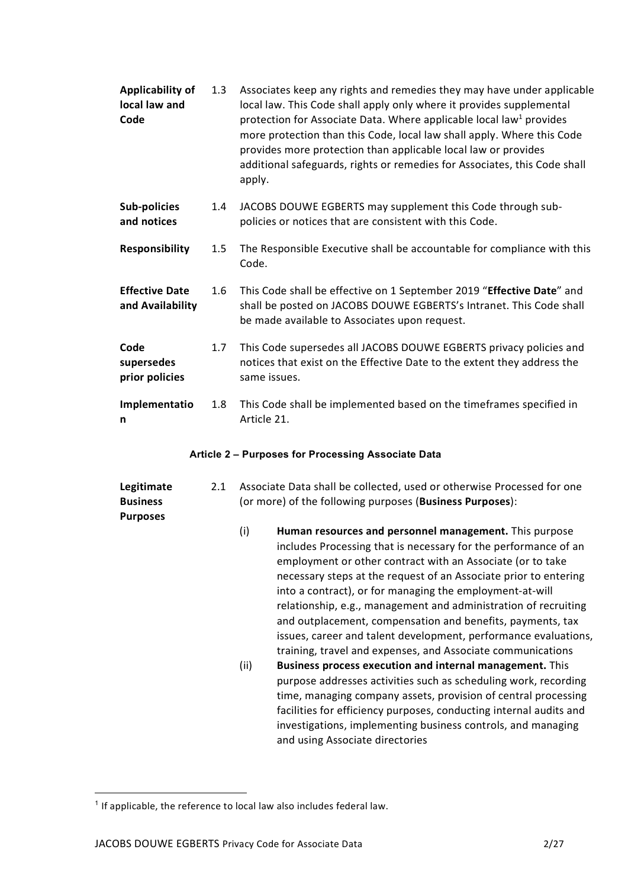| Applicability of<br>local law and<br>Code | 1.3 | Associates keep any rights and remedies they may have under applicable<br>local law. This Code shall apply only where it provides supplemental<br>protection for Associate Data. Where applicable local law <sup>1</sup> provides<br>more protection than this Code, local law shall apply. Where this Code<br>provides more protection than applicable local law or provides<br>additional safeguards, rights or remedies for Associates, this Code shall<br>apply. |
|-------------------------------------------|-----|----------------------------------------------------------------------------------------------------------------------------------------------------------------------------------------------------------------------------------------------------------------------------------------------------------------------------------------------------------------------------------------------------------------------------------------------------------------------|
| Sub-policies<br>and notices               | 1.4 | JACOBS DOUWE EGBERTS may supplement this Code through sub-<br>policies or notices that are consistent with this Code.                                                                                                                                                                                                                                                                                                                                                |
| <b>Responsibility</b>                     | 1.5 | The Responsible Executive shall be accountable for compliance with this<br>Code.                                                                                                                                                                                                                                                                                                                                                                                     |
| <b>Effective Date</b><br>and Availability | 1.6 | This Code shall be effective on 1 September 2019 "Effective Date" and<br>shall be posted on JACOBS DOUWE EGBERTS's Intranet. This Code shall<br>be made available to Associates upon request.                                                                                                                                                                                                                                                                        |
| Code<br>supersedes<br>prior policies      | 1.7 | This Code supersedes all JACOBS DOUWE EGBERTS privacy policies and<br>notices that exist on the Effective Date to the extent they address the<br>same issues.                                                                                                                                                                                                                                                                                                        |
| Implementatio<br>n                        | 1.8 | This Code shall be implemented based on the timeframes specified in<br>Article 21.                                                                                                                                                                                                                                                                                                                                                                                   |

## Article 2 – Purposes for Processing Associate Data

| Legitimate<br><b>Business</b><br><b>Purposes</b> | 2.1 | Associate Data shall be collected, used or otherwise Processed for one<br>(or more) of the following purposes (Business Purposes): |                                                                                                                                                                                                                                                                                                                                                                                                                                                                                                                                                                                            |
|--------------------------------------------------|-----|------------------------------------------------------------------------------------------------------------------------------------|--------------------------------------------------------------------------------------------------------------------------------------------------------------------------------------------------------------------------------------------------------------------------------------------------------------------------------------------------------------------------------------------------------------------------------------------------------------------------------------------------------------------------------------------------------------------------------------------|
|                                                  |     | (i)                                                                                                                                | Human resources and personnel management. This purpose<br>includes Processing that is necessary for the performance of an<br>employment or other contract with an Associate (or to take<br>necessary steps at the request of an Associate prior to entering<br>into a contract), or for managing the employment-at-will<br>relationship, e.g., management and administration of recruiting<br>and outplacement, compensation and benefits, payments, tax<br>issues, career and talent development, performance evaluations,<br>training, travel and expenses, and Associate communications |
|                                                  |     | (ii)                                                                                                                               | <b>Business process execution and internal management.</b> This<br>purpose addresses activities such as scheduling work, recording<br>time, managing company assets, provision of central processing<br>facilities for efficiency purposes, conducting internal audits and<br>investigations, implementing business controls, and managing<br>and using Associate directories                                                                                                                                                                                                              |

 $<sup>1</sup>$  If applicable, the reference to local law also includes federal law.</sup>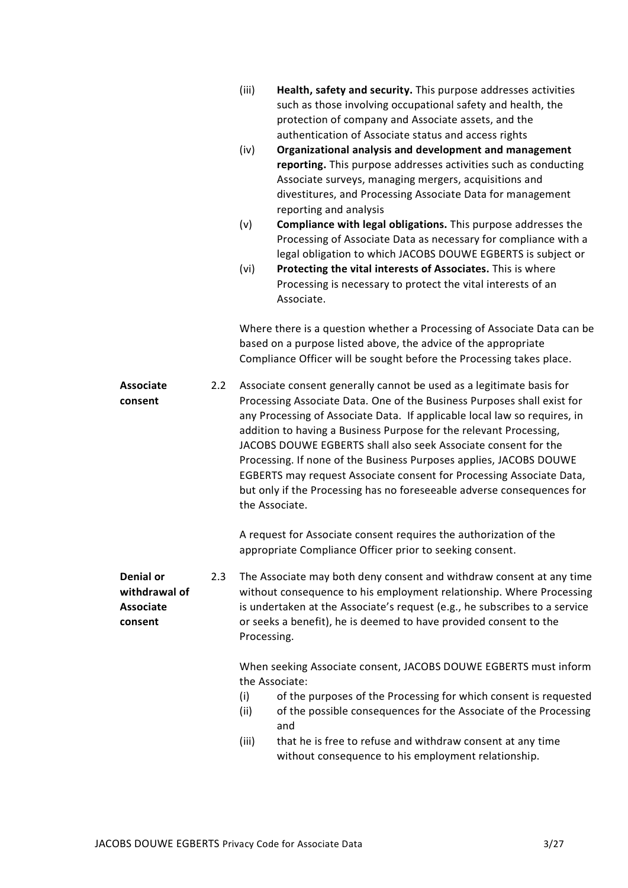|                                                                  |     | (iii)<br>Health, safety and security. This purpose addresses activities<br>such as those involving occupational safety and health, the<br>protection of company and Associate assets, and the<br>authentication of Associate status and access rights<br>(iv)<br>Organizational analysis and development and management<br>reporting. This purpose addresses activities such as conducting<br>Associate surveys, managing mergers, acquisitions and<br>divestitures, and Processing Associate Data for management<br>reporting and analysis<br>(v)<br>Compliance with legal obligations. This purpose addresses the<br>Processing of Associate Data as necessary for compliance with a<br>legal obligation to which JACOBS DOUWE EGBERTS is subject or<br>Protecting the vital interests of Associates. This is where<br>(vi)<br>Processing is necessary to protect the vital interests of an<br>Associate.<br>Where there is a question whether a Processing of Associate Data can be |
|------------------------------------------------------------------|-----|----------------------------------------------------------------------------------------------------------------------------------------------------------------------------------------------------------------------------------------------------------------------------------------------------------------------------------------------------------------------------------------------------------------------------------------------------------------------------------------------------------------------------------------------------------------------------------------------------------------------------------------------------------------------------------------------------------------------------------------------------------------------------------------------------------------------------------------------------------------------------------------------------------------------------------------------------------------------------------------|
|                                                                  |     | based on a purpose listed above, the advice of the appropriate<br>Compliance Officer will be sought before the Processing takes place.                                                                                                                                                                                                                                                                                                                                                                                                                                                                                                                                                                                                                                                                                                                                                                                                                                                 |
| <b>Associate</b><br>consent                                      | 2.2 | Associate consent generally cannot be used as a legitimate basis for<br>Processing Associate Data. One of the Business Purposes shall exist for<br>any Processing of Associate Data. If applicable local law so requires, in<br>addition to having a Business Purpose for the relevant Processing,<br>JACOBS DOUWE EGBERTS shall also seek Associate consent for the<br>Processing. If none of the Business Purposes applies, JACOBS DOUWE<br>EGBERTS may request Associate consent for Processing Associate Data,<br>but only if the Processing has no foreseeable adverse consequences for<br>the Associate.                                                                                                                                                                                                                                                                                                                                                                         |
|                                                                  |     | A request for Associate consent requires the authorization of the<br>appropriate Compliance Officer prior to seeking consent.                                                                                                                                                                                                                                                                                                                                                                                                                                                                                                                                                                                                                                                                                                                                                                                                                                                          |
| <b>Denial or</b><br>withdrawal of<br><b>Associate</b><br>consent | 2.3 | The Associate may both deny consent and withdraw consent at any time<br>without consequence to his employment relationship. Where Processing<br>is undertaken at the Associate's request (e.g., he subscribes to a service<br>or seeks a benefit), he is deemed to have provided consent to the<br>Processing.                                                                                                                                                                                                                                                                                                                                                                                                                                                                                                                                                                                                                                                                         |
|                                                                  |     | When seeking Associate consent, JACOBS DOUWE EGBERTS must inform<br>the Associate:<br>(i)<br>of the purposes of the Processing for which consent is requested<br>of the possible consequences for the Associate of the Processing<br>(ii)<br>and<br>that he is free to refuse and withdraw consent at any time<br>(iii)                                                                                                                                                                                                                                                                                                                                                                                                                                                                                                                                                                                                                                                                |
|                                                                  |     | without consequence to his employment relationship.                                                                                                                                                                                                                                                                                                                                                                                                                                                                                                                                                                                                                                                                                                                                                                                                                                                                                                                                    |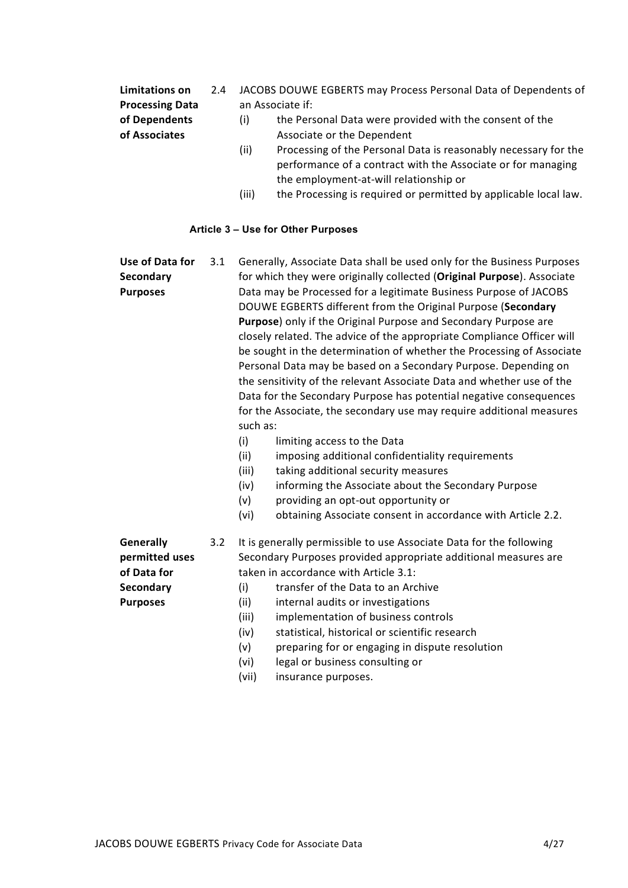Limitations on Processing Data of Dependents of Associates 2.4 JACOBS DOUWE EGBERTS may Process Personal Data of Dependents of an Associate if: (i) the Personal Data were provided with the consent of the Associate or the Dependent (ii) Processing of the Personal Data is reasonably necessary for the

- performance of a contract with the Associate or for managing the employment-at-will relationship or
- (iii) the Processing is required or permitted by applicable local law.

## Article 3 – Use for Other Purposes

Use of Data for **Secondary** Purposes 3.1 Generally, Associate Data shall be used only for the Business Purposes for which they were originally collected (Original Purpose). Associate Data may be Processed for a legitimate Business Purpose of JACOBS DOUWE EGBERTS different from the Original Purpose (Secondary Purpose) only if the Original Purpose and Secondary Purpose are closely related. The advice of the appropriate Compliance Officer will be sought in the determination of whether the Processing of Associate Personal Data may be based on a Secondary Purpose. Depending on the sensitivity of the relevant Associate Data and whether use of the Data for the Secondary Purpose has potential negative consequences for the Associate, the secondary use may require additional measures such as: (i) limiting access to the Data (ii) imposing additional confidentiality requirements

- (iii) taking additional security measures
- (iv) informing the Associate about the Secondary Purpose
- (v) providing an opt-out opportunity or
- (vi) obtaining Associate consent in accordance with Article 2.2.

**Generally** permitted uses of Data for **Secondary** Purposes

- 3.2 It is generally permissible to use Associate Data for the following Secondary Purposes provided appropriate additional measures are taken in accordance with Article 3.1:
	- (i) transfer of the Data to an Archive
	- (ii) internal audits or investigations
	- (iii) implementation of business controls
	- (iv) statistical, historical or scientific research
	- (v) preparing for or engaging in dispute resolution
	- (vi) legal or business consulting or
	- (vii) insurance purposes.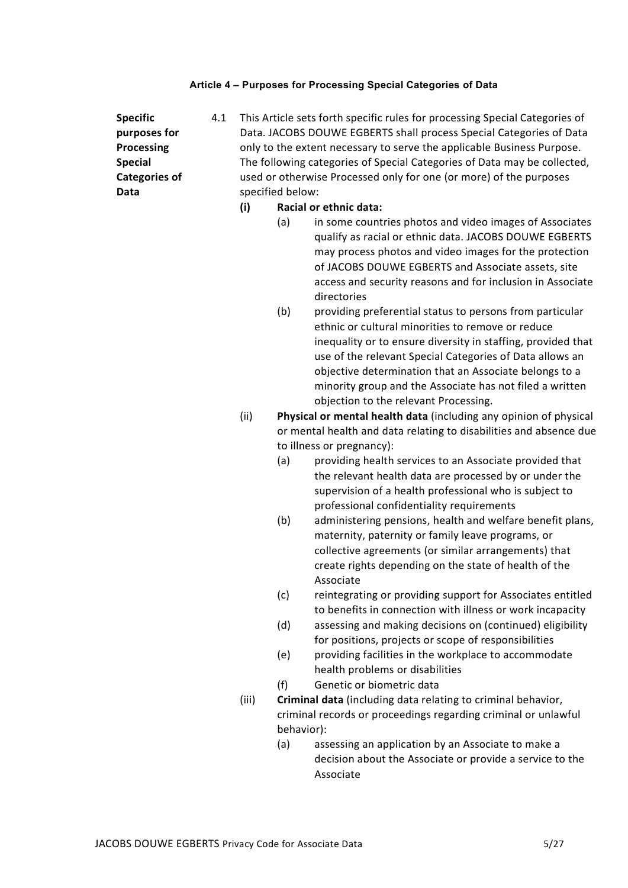# Article 4 – Purposes for Processing Special Categories of Data

| <b>Specific</b><br>purposes for<br><b>Processing</b><br><b>Special</b><br><b>Categories of</b><br>Data | 4.1 | specified below:<br>(i) | (a)        | This Article sets forth specific rules for processing Special Categories of<br>Data. JACOBS DOUWE EGBERTS shall process Special Categories of Data<br>only to the extent necessary to serve the applicable Business Purpose.<br>The following categories of Special Categories of Data may be collected,<br>used or otherwise Processed only for one (or more) of the purposes<br>Racial or ethnic data:<br>in some countries photos and video images of Associates<br>qualify as racial or ethnic data. JACOBS DOUWE EGBERTS<br>may process photos and video images for the protection<br>of JACOBS DOUWE EGBERTS and Associate assets, site<br>access and security reasons and for inclusion in Associate<br>directories |
|--------------------------------------------------------------------------------------------------------|-----|-------------------------|------------|----------------------------------------------------------------------------------------------------------------------------------------------------------------------------------------------------------------------------------------------------------------------------------------------------------------------------------------------------------------------------------------------------------------------------------------------------------------------------------------------------------------------------------------------------------------------------------------------------------------------------------------------------------------------------------------------------------------------------|
|                                                                                                        |     |                         | (b)        | providing preferential status to persons from particular<br>ethnic or cultural minorities to remove or reduce<br>inequality or to ensure diversity in staffing, provided that<br>use of the relevant Special Categories of Data allows an<br>objective determination that an Associate belongs to a<br>minority group and the Associate has not filed a written<br>objection to the relevant Processing.                                                                                                                                                                                                                                                                                                                   |
|                                                                                                        |     | (ii)                    |            | Physical or mental health data (including any opinion of physical                                                                                                                                                                                                                                                                                                                                                                                                                                                                                                                                                                                                                                                          |
|                                                                                                        |     |                         |            | or mental health and data relating to disabilities and absence due                                                                                                                                                                                                                                                                                                                                                                                                                                                                                                                                                                                                                                                         |
|                                                                                                        |     |                         |            | to illness or pregnancy):                                                                                                                                                                                                                                                                                                                                                                                                                                                                                                                                                                                                                                                                                                  |
|                                                                                                        |     |                         | (a)        | providing health services to an Associate provided that<br>the relevant health data are processed by or under the<br>supervision of a health professional who is subject to<br>professional confidentiality requirements                                                                                                                                                                                                                                                                                                                                                                                                                                                                                                   |
|                                                                                                        |     |                         | (b)        | administering pensions, health and welfare benefit plans,<br>maternity, paternity or family leave programs, or<br>collective agreements (or similar arrangements) that<br>create rights depending on the state of health of the<br>Associate                                                                                                                                                                                                                                                                                                                                                                                                                                                                               |
|                                                                                                        |     |                         | (c)        | reintegrating or providing support for Associates entitled<br>to benefits in connection with illness or work incapacity                                                                                                                                                                                                                                                                                                                                                                                                                                                                                                                                                                                                    |
|                                                                                                        |     |                         | (d)<br>(e) | assessing and making decisions on (continued) eligibility<br>for positions, projects or scope of responsibilities<br>providing facilities in the workplace to accommodate                                                                                                                                                                                                                                                                                                                                                                                                                                                                                                                                                  |
|                                                                                                        |     |                         |            | health problems or disabilities                                                                                                                                                                                                                                                                                                                                                                                                                                                                                                                                                                                                                                                                                            |
|                                                                                                        |     |                         | (f)        | Genetic or biometric data                                                                                                                                                                                                                                                                                                                                                                                                                                                                                                                                                                                                                                                                                                  |
|                                                                                                        |     | (iii)                   | behavior): | Criminal data (including data relating to criminal behavior,<br>criminal records or proceedings regarding criminal or unlawful                                                                                                                                                                                                                                                                                                                                                                                                                                                                                                                                                                                             |
|                                                                                                        |     |                         | (a)        | assessing an application by an Associate to make a<br>decision about the Associate or provide a service to the<br>Associate                                                                                                                                                                                                                                                                                                                                                                                                                                                                                                                                                                                                |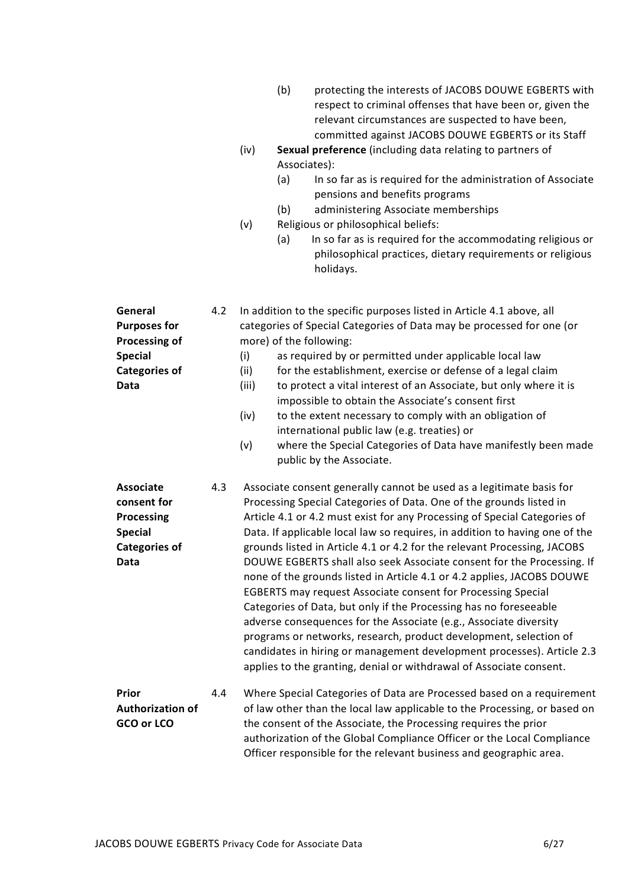- (b) protecting the interests of JACOBS DOUWE EGBERTS with respect to criminal offenses that have been or, given the relevant circumstances are suspected to have been, committed against JACOBS DOUWE EGBERTS or its Staff
- (iv) Sexual preference (including data relating to partners of Associates):
	- (a) In so far as is required for the administration of Associate pensions and benefits programs
	- (b) administering Associate memberships
- (v) Religious or philosophical beliefs:
	- (a) In so far as is required for the accommodating religious or philosophical practices, dietary requirements or religious holidays.

| General<br><b>Purposes for</b><br>Processing of<br><b>Special</b><br><b>Categories of</b><br>Data      | 4.2 | In addition to the specific purposes listed in Article 4.1 above, all<br>categories of Special Categories of Data may be processed for one (or<br>more) of the following:<br>(i)<br>as required by or permitted under applicable local law<br>(ii)<br>for the establishment, exercise or defense of a legal claim<br>to protect a vital interest of an Associate, but only where it is<br>(iii)<br>impossible to obtain the Associate's consent first<br>to the extent necessary to comply with an obligation of<br>(iv)<br>international public law (e.g. treaties) or<br>(v)<br>where the Special Categories of Data have manifestly been made<br>public by the Associate.                                                                                                                                                                                                                                                                                                   |  |
|--------------------------------------------------------------------------------------------------------|-----|--------------------------------------------------------------------------------------------------------------------------------------------------------------------------------------------------------------------------------------------------------------------------------------------------------------------------------------------------------------------------------------------------------------------------------------------------------------------------------------------------------------------------------------------------------------------------------------------------------------------------------------------------------------------------------------------------------------------------------------------------------------------------------------------------------------------------------------------------------------------------------------------------------------------------------------------------------------------------------|--|
| <b>Associate</b><br>consent for<br><b>Processing</b><br><b>Special</b><br><b>Categories of</b><br>Data | 4.3 | Associate consent generally cannot be used as a legitimate basis for<br>Processing Special Categories of Data. One of the grounds listed in<br>Article 4.1 or 4.2 must exist for any Processing of Special Categories of<br>Data. If applicable local law so requires, in addition to having one of the<br>grounds listed in Article 4.1 or 4.2 for the relevant Processing, JACOBS<br>DOUWE EGBERTS shall also seek Associate consent for the Processing. If<br>none of the grounds listed in Article 4.1 or 4.2 applies, JACOBS DOUWE<br><b>EGBERTS may request Associate consent for Processing Special</b><br>Categories of Data, but only if the Processing has no foreseeable<br>adverse consequences for the Associate (e.g., Associate diversity<br>programs or networks, research, product development, selection of<br>candidates in hiring or management development processes). Article 2.3<br>applies to the granting, denial or withdrawal of Associate consent. |  |
| Prior<br><b>Authorization of</b><br>GCO or LCO                                                         | 4.4 | Where Special Categories of Data are Processed based on a requirement<br>of law other than the local law applicable to the Processing, or based on<br>the consent of the Associate, the Processing requires the prior<br>authorization of the Global Compliance Officer or the Local Compliance<br>Officer responsible for the relevant business and geographic area.                                                                                                                                                                                                                                                                                                                                                                                                                                                                                                                                                                                                          |  |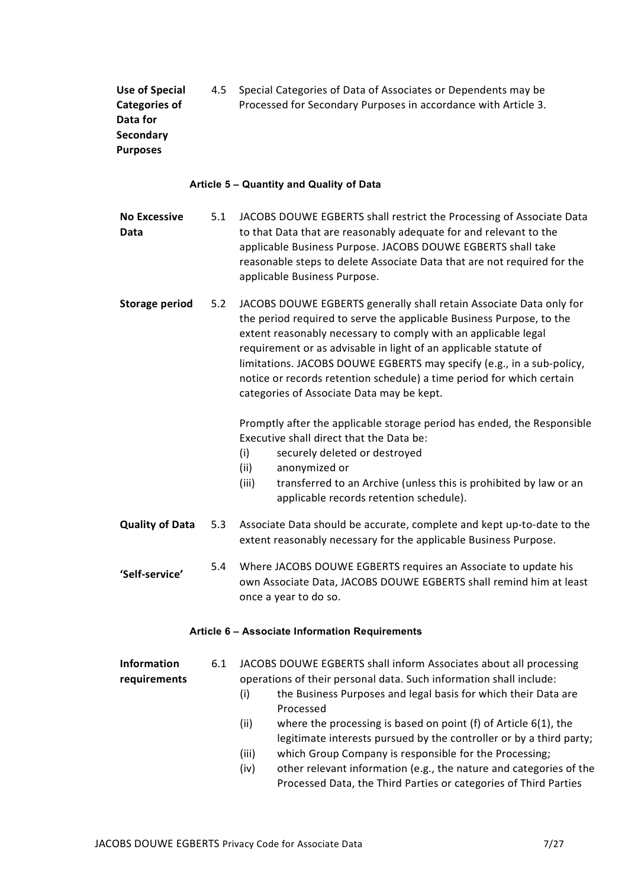Use of Special Categories of Data for **Secondary** Purposes 4.5 Special Categories of Data of Associates or Dependents may be Processed for Secondary Purposes in accordance with Article 3.

#### Article 5 – Quantity and Quality of Data

No Excessive Data 5.1 JACOBS DOUWE EGBERTS shall restrict the Processing of Associate Data to that Data that are reasonably adequate for and relevant to the applicable Business Purpose. JACOBS DOUWE EGBERTS shall take reasonable steps to delete Associate Data that are not required for the applicable Business Purpose.

Storage period 5.2 JACOBS DOUWE EGBERTS generally shall retain Associate Data only for the period required to serve the applicable Business Purpose, to the extent reasonably necessary to comply with an applicable legal requirement or as advisable in light of an applicable statute of limitations. JACOBS DOUWE EGBERTS may specify (e.g., in a sub-policy, notice or records retention schedule) a time period for which certain categories of Associate Data may be kept.

> Promptly after the applicable storage period has ended, the Responsible Executive shall direct that the Data be:

- (i) securely deleted or destroyed
- (ii) anonymized or
- (iii) transferred to an Archive (unless this is prohibited by law or an applicable records retention schedule).
- Quality of Data 5.3 Associate Data should be accurate, complete and kept up-to-date to the extent reasonably necessary for the applicable Business Purpose.
- 'Self-service' 5.4 Where JACOBS DOUWE EGBERTS requires an Associate to update his own Associate Data, JACOBS DOUWE EGBERTS shall remind him at least once a year to do so.

#### Article 6 – Associate Information Requirements

Information requirements 6.1 JACOBS DOUWE EGBERTS shall inform Associates about all processing operations of their personal data. Such information shall include:

- (i) the Business Purposes and legal basis for which their Data are Processed
- (ii) where the processing is based on point (f) of Article 6(1), the legitimate interests pursued by the controller or by a third party;
- (iii) which Group Company is responsible for the Processing;
- (iv) other relevant information (e.g., the nature and categories of the Processed Data, the Third Parties or categories of Third Parties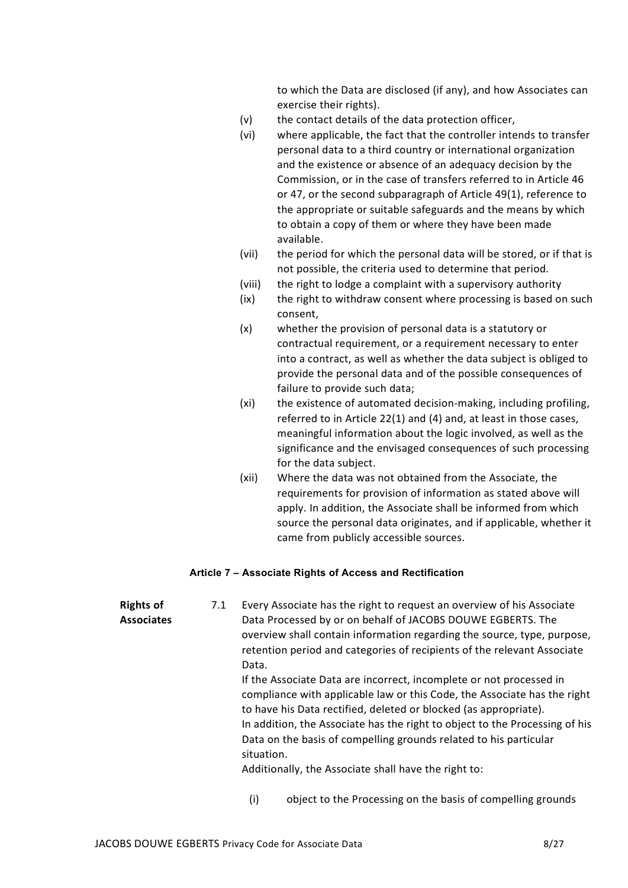to which the Data are disclosed (if any), and how Associates can exercise their rights).

- (v) the contact details of the data protection officer,
- (vi) where applicable, the fact that the controller intends to transfer personal data to a third country or international organization and the existence or absence of an adequacy decision by the Commission, or in the case of transfers referred to in Article 46 or 47, or the second subparagraph of Article 49(1), reference to the appropriate or suitable safeguards and the means by which to obtain a copy of them or where they have been made available.
- (vii) the period for which the personal data will be stored, or if that is not possible, the criteria used to determine that period.
- (viii) the right to lodge a complaint with a supervisory authority
- (ix) the right to withdraw consent where processing is based on such consent,
- (x) whether the provision of personal data is a statutory or contractual requirement, or a requirement necessary to enter into a contract, as well as whether the data subject is obliged to provide the personal data and of the possible consequences of failure to provide such data;
- (xi) the existence of automated decision-making, including profiling, referred to in Article 22(1) and (4) and, at least in those cases, meaningful information about the logic involved, as well as the significance and the envisaged consequences of such processing for the data subject.
- (xii) Where the data was not obtained from the Associate, the requirements for provision of information as stated above will apply. In addition, the Associate shall be informed from which source the personal data originates, and if applicable, whether it came from publicly accessible sources.

#### Article 7 – Associate Rights of Access and Rectification

| <b>Rights of</b>  | 7.1 | Every Associate has the right to request an overview of his Associate                                                                                                                                                                                                                                                                                                                                                                         |
|-------------------|-----|-----------------------------------------------------------------------------------------------------------------------------------------------------------------------------------------------------------------------------------------------------------------------------------------------------------------------------------------------------------------------------------------------------------------------------------------------|
| <b>Associates</b> |     | Data Processed by or on behalf of JACOBS DOUWE EGBERTS. The                                                                                                                                                                                                                                                                                                                                                                                   |
|                   |     | overview shall contain information regarding the source, type, purpose,<br>retention period and categories of recipients of the relevant Associate<br>Data.                                                                                                                                                                                                                                                                                   |
|                   |     | If the Associate Data are incorrect, incomplete or not processed in<br>compliance with applicable law or this Code, the Associate has the right<br>to have his Data rectified, deleted or blocked (as appropriate).<br>In addition, the Associate has the right to object to the Processing of his<br>Data on the basis of compelling grounds related to his particular<br>situation.<br>Additionally, the Associate shall have the right to: |
|                   |     |                                                                                                                                                                                                                                                                                                                                                                                                                                               |

(i) object to the Processing on the basis of compelling grounds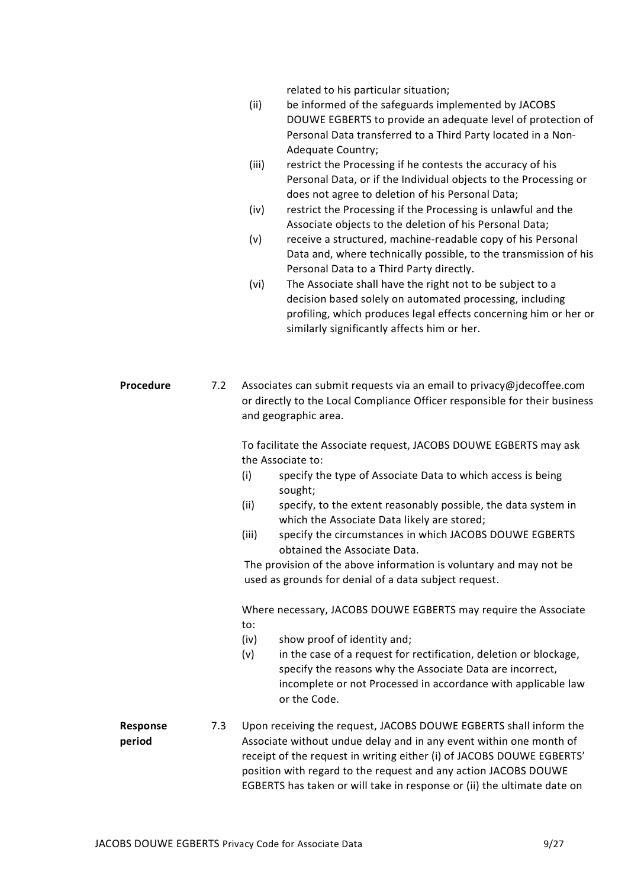related to his particular situation;

- (ii) be informed of the safeguards implemented by JACOBS DOUWE EGBERTS to provide an adequate level of protection of Personal Data transferred to a Third Party located in a Non-Adequate Country;
- (iii) restrict the Processing if he contests the accuracy of his Personal Data, or if the Individual objects to the Processing or does not agree to deletion of his Personal Data;
- (iv) restrict the Processing if the Processing is unlawful and the Associate objects to the deletion of his Personal Data;
- (v) receive a structured, machine-readable copy of his Personal Data and, where technically possible, to the transmission of his Personal Data to a Third Party directly.
- (vi) The Associate shall have the right not to be subject to a decision based solely on automated processing, including profiling, which produces legal effects concerning him or her or similarly significantly affects him or her.
- Procedure 7.2 Associates can submit requests via an email to privacy@jdecoffee.com or directly to the Local Compliance Officer responsible for their business and geographic area.

To facilitate the Associate request, JACOBS DOUWE EGBERTS may ask the Associate to:

- (i) specify the type of Associate Data to which access is being sought;
- (ii) specify, to the extent reasonably possible, the data system in which the Associate Data likely are stored;
- (iii) specify the circumstances in which JACOBS DOUWE EGBERTS obtained the Associate Data.

The provision of the above information is voluntary and may not be used as grounds for denial of a data subject request.

Where necessary, JACOBS DOUWE EGBERTS may require the Associate to:

- (iv) show proof of identity and;
- (v) in the case of a request for rectification, deletion or blockage, specify the reasons why the Associate Data are incorrect, incomplete or not Processed in accordance with applicable law or the Code.

Response period

7.3 Upon receiving the request, JACOBS DOUWE EGBERTS shall inform the Associate without undue delay and in any event within one month of receipt of the request in writing either (i) of JACOBS DOUWE EGBERTS' position with regard to the request and any action JACOBS DOUWE EGBERTS has taken or will take in response or (ii) the ultimate date on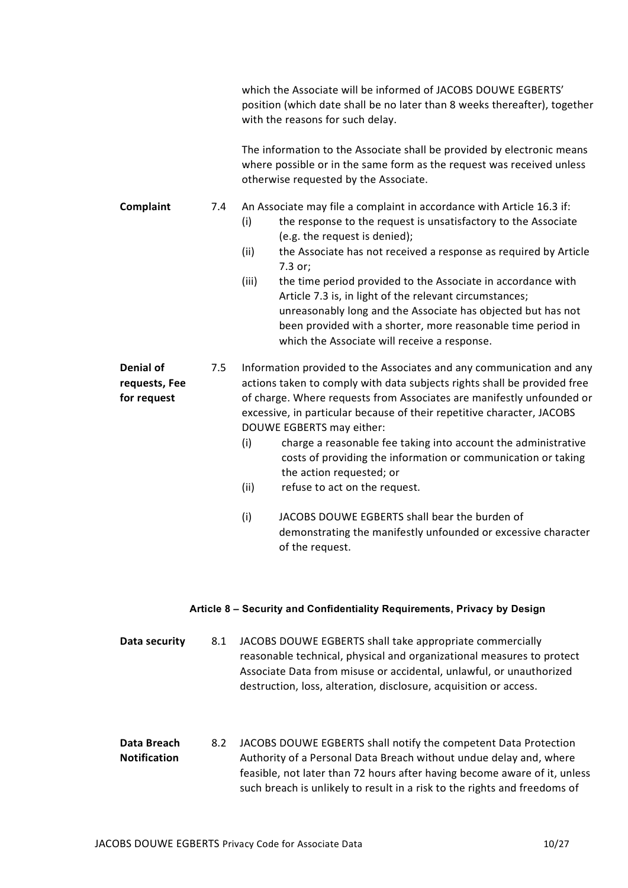|                                           |     | which the Associate will be informed of JACOBS DOUWE EGBERTS'<br>position (which date shall be no later than 8 weeks thereafter), together<br>with the reasons for such delay.<br>The information to the Associate shall be provided by electronic means<br>where possible or in the same form as the request was received unless<br>otherwise requested by the Associate.                                                                                                                                                                                                                                                                                                                  |
|-------------------------------------------|-----|---------------------------------------------------------------------------------------------------------------------------------------------------------------------------------------------------------------------------------------------------------------------------------------------------------------------------------------------------------------------------------------------------------------------------------------------------------------------------------------------------------------------------------------------------------------------------------------------------------------------------------------------------------------------------------------------|
| Complaint                                 | 7.4 | An Associate may file a complaint in accordance with Article 16.3 if:<br>the response to the request is unsatisfactory to the Associate<br>(i)<br>(e.g. the request is denied);<br>(ii)<br>the Associate has not received a response as required by Article<br>7.3 or;<br>(iii)<br>the time period provided to the Associate in accordance with<br>Article 7.3 is, in light of the relevant circumstances;<br>unreasonably long and the Associate has objected but has not<br>been provided with a shorter, more reasonable time period in<br>which the Associate will receive a response.                                                                                                  |
| Denial of<br>requests, Fee<br>for request | 7.5 | Information provided to the Associates and any communication and any<br>actions taken to comply with data subjects rights shall be provided free<br>of charge. Where requests from Associates are manifestly unfounded or<br>excessive, in particular because of their repetitive character, JACOBS<br>DOUWE EGBERTS may either:<br>charge a reasonable fee taking into account the administrative<br>(i)<br>costs of providing the information or communication or taking<br>the action requested; or<br>(ii)<br>refuse to act on the request.<br>JACOBS DOUWE EGBERTS shall bear the burden of<br>(i)<br>demonstrating the manifestly unfounded or excessive character<br>of the request. |

## Article 8 – Security and Confidentiality Requirements, Privacy by Design

| Data security | 8.1 | JACOBS DOUWE EGBERTS shall take appropriate commercially              |
|---------------|-----|-----------------------------------------------------------------------|
|               |     | reasonable technical, physical and organizational measures to protect |
|               |     | Associate Data from misuse or accidental, unlawful, or unauthorized   |
|               |     | destruction, loss, alteration, disclosure, acquisition or access.     |
|               |     |                                                                       |

Data Breach Notification 8.2 JACOBS DOUWE EGBERTS shall notify the competent Data Protection Authority of a Personal Data Breach without undue delay and, where feasible, not later than 72 hours after having become aware of it, unless such breach is unlikely to result in a risk to the rights and freedoms of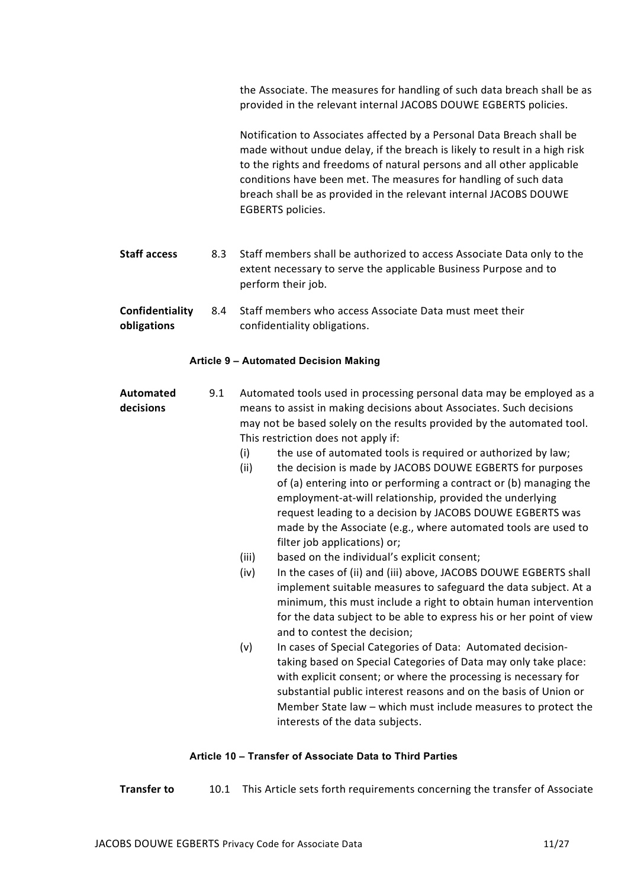the Associate. The measures for handling of such data breach shall be as provided in the relevant internal JACOBS DOUWE EGBERTS policies.

Notification to Associates affected by a Personal Data Breach shall be made without undue delay, if the breach is likely to result in a high risk to the rights and freedoms of natural persons and all other applicable conditions have been met. The measures for handling of such data breach shall be as provided in the relevant internal JACOBS DOUWE EGBERTS policies.

- Staff access 8.3 Staff members shall be authorized to access Associate Data only to the extent necessary to serve the applicable Business Purpose and to perform their job.
- Confidentiality obligations 8.4 Staff members who access Associate Data must meet their confidentiality obligations.

#### Article 9 – Automated Decision Making

- Automated decisions 9.1 Automated tools used in processing personal data may be employed as a means to assist in making decisions about Associates. Such decisions may not be based solely on the results provided by the automated tool. This restriction does not apply if:
	- (i) the use of automated tools is required or authorized by law;
	- (ii) the decision is made by JACOBS DOUWE EGBERTS for purposes of (a) entering into or performing a contract or (b) managing the employment-at-will relationship, provided the underlying request leading to a decision by JACOBS DOUWE EGBERTS was made by the Associate (e.g., where automated tools are used to filter job applications) or;
	- (iii) based on the individual's explicit consent;
	- (iv) In the cases of (ii) and (iii) above, JACOBS DOUWE EGBERTS shall implement suitable measures to safeguard the data subject. At a minimum, this must include a right to obtain human intervention for the data subject to be able to express his or her point of view and to contest the decision;
	- (v) In cases of Special Categories of Data: Automated decisiontaking based on Special Categories of Data may only take place: with explicit consent; or where the processing is necessary for substantial public interest reasons and on the basis of Union or Member State law – which must include measures to protect the interests of the data subjects.

#### Article 10 – Transfer of Associate Data to Third Parties

**Transfer to** 10.1 This Article sets forth requirements concerning the transfer of Associate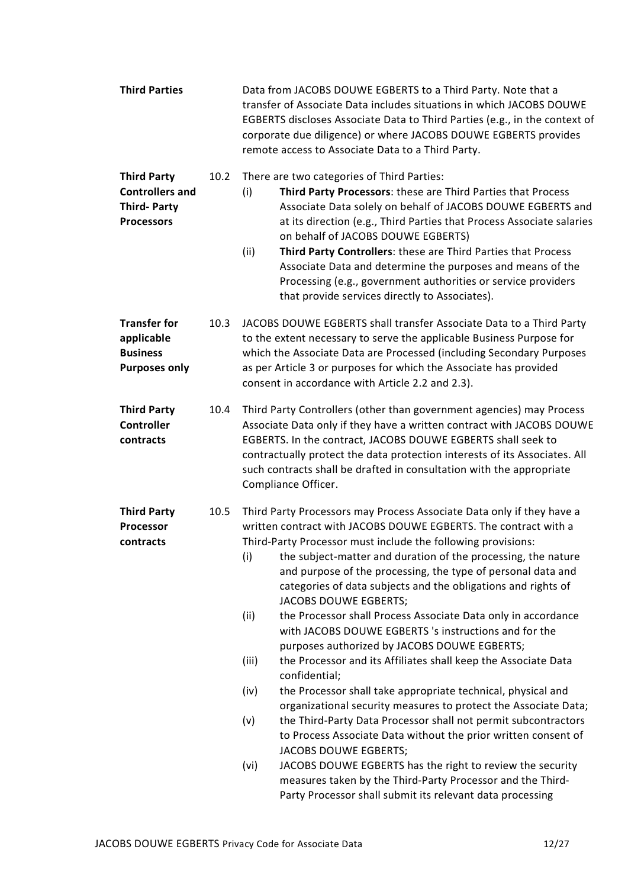| <b>Third Parties</b>                                                                    |      | Data from JACOBS DOUWE EGBERTS to a Third Party. Note that a<br>transfer of Associate Data includes situations in which JACOBS DOUWE<br>EGBERTS discloses Associate Data to Third Parties (e.g., in the context of<br>corporate due diligence) or where JACOBS DOUWE EGBERTS provides<br>remote access to Associate Data to a Third Party.                                                                                                                                                                                                                                                                                                                                                                                                                                                                                                                                                                                                                                                                                                                                                                                                                                                                                              |  |
|-----------------------------------------------------------------------------------------|------|-----------------------------------------------------------------------------------------------------------------------------------------------------------------------------------------------------------------------------------------------------------------------------------------------------------------------------------------------------------------------------------------------------------------------------------------------------------------------------------------------------------------------------------------------------------------------------------------------------------------------------------------------------------------------------------------------------------------------------------------------------------------------------------------------------------------------------------------------------------------------------------------------------------------------------------------------------------------------------------------------------------------------------------------------------------------------------------------------------------------------------------------------------------------------------------------------------------------------------------------|--|
| <b>Third Party</b><br><b>Controllers and</b><br><b>Third-Party</b><br><b>Processors</b> | 10.2 | There are two categories of Third Parties:<br>Third Party Processors: these are Third Parties that Process<br>(i)<br>Associate Data solely on behalf of JACOBS DOUWE EGBERTS and<br>at its direction (e.g., Third Parties that Process Associate salaries<br>on behalf of JACOBS DOUWE EGBERTS)<br>Third Party Controllers: these are Third Parties that Process<br>(ii)<br>Associate Data and determine the purposes and means of the<br>Processing (e.g., government authorities or service providers<br>that provide services directly to Associates).                                                                                                                                                                                                                                                                                                                                                                                                                                                                                                                                                                                                                                                                               |  |
| <b>Transfer for</b><br>applicable<br><b>Business</b><br><b>Purposes only</b>            | 10.3 | JACOBS DOUWE EGBERTS shall transfer Associate Data to a Third Party<br>to the extent necessary to serve the applicable Business Purpose for<br>which the Associate Data are Processed (including Secondary Purposes<br>as per Article 3 or purposes for which the Associate has provided<br>consent in accordance with Article 2.2 and 2.3).                                                                                                                                                                                                                                                                                                                                                                                                                                                                                                                                                                                                                                                                                                                                                                                                                                                                                            |  |
| <b>Third Party</b><br><b>Controller</b><br>contracts                                    | 10.4 | Third Party Controllers (other than government agencies) may Process<br>Associate Data only if they have a written contract with JACOBS DOUWE<br>EGBERTS. In the contract, JACOBS DOUWE EGBERTS shall seek to<br>contractually protect the data protection interests of its Associates. All<br>such contracts shall be drafted in consultation with the appropriate<br>Compliance Officer.                                                                                                                                                                                                                                                                                                                                                                                                                                                                                                                                                                                                                                                                                                                                                                                                                                              |  |
| <b>Third Party</b><br>Processor<br>contracts                                            | 10.5 | Third Party Processors may Process Associate Data only if they have a<br>written contract with JACOBS DOUWE EGBERTS. The contract with a<br>Third-Party Processor must include the following provisions:<br>the subject-matter and duration of the processing, the nature<br>(i)<br>and purpose of the processing, the type of personal data and<br>categories of data subjects and the obligations and rights of<br>JACOBS DOUWE EGBERTS;<br>the Processor shall Process Associate Data only in accordance<br>(ii)<br>with JACOBS DOUWE EGBERTS 's instructions and for the<br>purposes authorized by JACOBS DOUWE EGBERTS;<br>(iii)<br>the Processor and its Affiliates shall keep the Associate Data<br>confidential;<br>(iv)<br>the Processor shall take appropriate technical, physical and<br>organizational security measures to protect the Associate Data;<br>the Third-Party Data Processor shall not permit subcontractors<br>(v)<br>to Process Associate Data without the prior written consent of<br>JACOBS DOUWE EGBERTS;<br>(vi)<br>JACOBS DOUWE EGBERTS has the right to review the security<br>measures taken by the Third-Party Processor and the Third-<br>Party Processor shall submit its relevant data processing |  |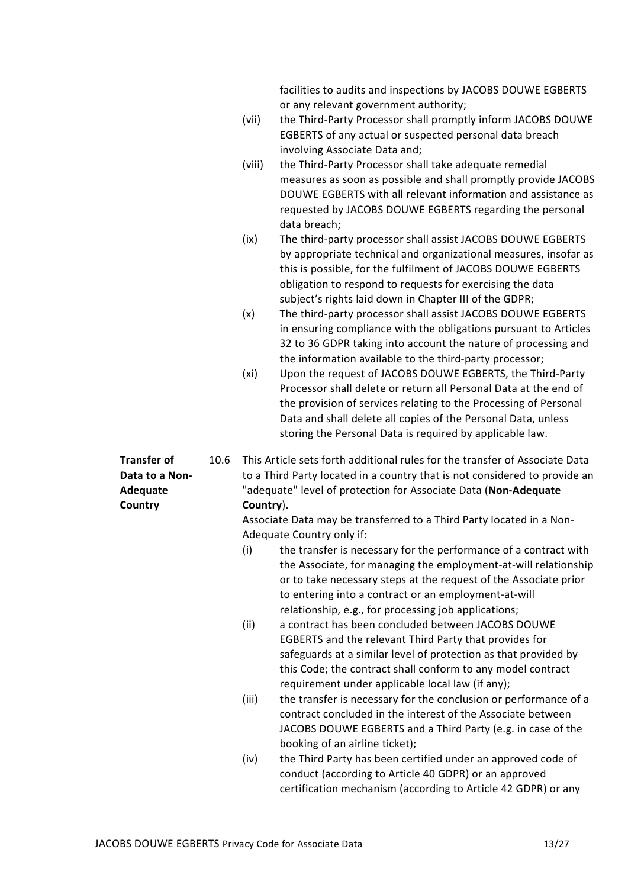facilities to audits and inspections by JACOBS DOUWE EGBERTS or any relevant government authority;

- (vii) the Third-Party Processor shall promptly inform JACOBS DOUWE EGBERTS of any actual or suspected personal data breach involving Associate Data and;
- (viii) the Third-Party Processor shall take adequate remedial measures as soon as possible and shall promptly provide JACOBS DOUWE EGBERTS with all relevant information and assistance as requested by JACOBS DOUWE EGBERTS regarding the personal data breach;
- (ix) The third-party processor shall assist JACOBS DOUWE EGBERTS by appropriate technical and organizational measures, insofar as this is possible, for the fulfilment of JACOBS DOUWE EGBERTS obligation to respond to requests for exercising the data subject's rights laid down in Chapter III of the GDPR;
- (x) The third-party processor shall assist JACOBS DOUWE EGBERTS in ensuring compliance with the obligations pursuant to Articles 32 to 36 GDPR taking into account the nature of processing and the information available to the third-party processor;
- (xi) Upon the request of JACOBS DOUWE EGBERTS, the Third-Party Processor shall delete or return all Personal Data at the end of the provision of services relating to the Processing of Personal Data and shall delete all copies of the Personal Data, unless storing the Personal Data is required by applicable law.
- 10.6 This Article sets forth additional rules for the transfer of Associate Data to a Third Party located in a country that is not considered to provide an "adequate" level of protection for Associate Data (Non-Adequate Country).

Associate Data may be transferred to a Third Party located in a Non-Adequate Country only if:

- (i) the transfer is necessary for the performance of a contract with the Associate, for managing the employment-at-will relationship or to take necessary steps at the request of the Associate prior to entering into a contract or an employment-at-will relationship, e.g., for processing job applications;
- (ii) a contract has been concluded between JACOBS DOUWE EGBERTS and the relevant Third Party that provides for safeguards at a similar level of protection as that provided by this Code; the contract shall conform to any model contract requirement under applicable local law (if any);
- (iii) the transfer is necessary for the conclusion or performance of a contract concluded in the interest of the Associate between JACOBS DOUWE EGBERTS and a Third Party (e.g. in case of the booking of an airline ticket);
- (iv) the Third Party has been certified under an approved code of conduct (according to Article 40 GDPR) or an approved certification mechanism (according to Article 42 GDPR) or any

Transfer of Data to a Non-Adequate **Country**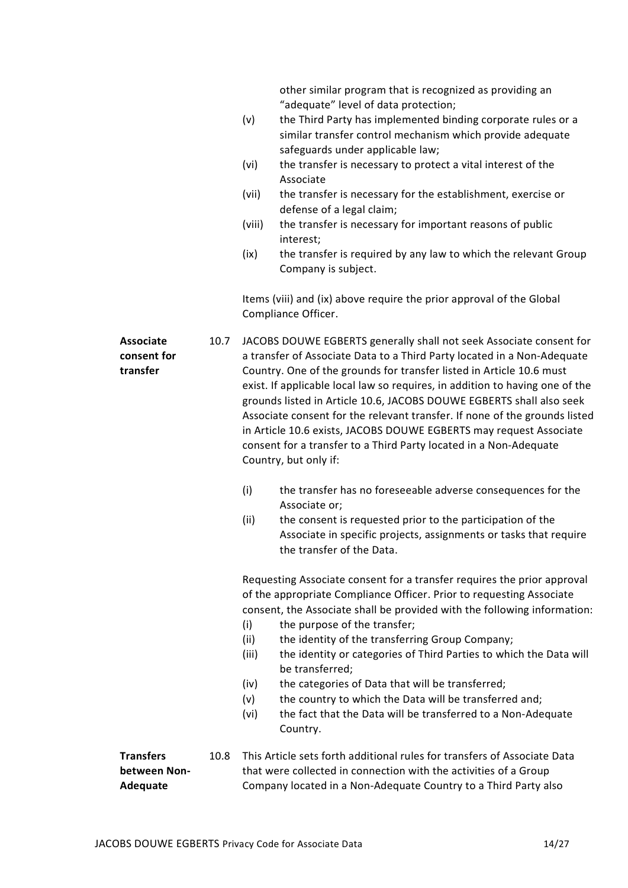other similar program that is recognized as providing an "adequate" level of data protection;

- (v) the Third Party has implemented binding corporate rules or a similar transfer control mechanism which provide adequate safeguards under applicable law;
- (vi) the transfer is necessary to protect a vital interest of the Associate
- (vii) the transfer is necessary for the establishment, exercise or defense of a legal claim;
- (viii) the transfer is necessary for important reasons of public interest;
- (ix) the transfer is required by any law to which the relevant Group Company is subject.

Items (viii) and (ix) above require the prior approval of the Global Compliance Officer.

Associate 10.7 JACOBS DOUWE EGBERTS generally shall not seek Associate consent for a transfer of Associate Data to a Third Party located in a Non-Adequate Country. One of the grounds for transfer listed in Article 10.6 must exist. If applicable local law so requires, in addition to having one of the grounds listed in Article 10.6, JACOBS DOUWE EGBERTS shall also seek Associate consent for the relevant transfer. If none of the grounds listed in Article 10.6 exists, JACOBS DOUWE EGBERTS may request Associate consent for a transfer to a Third Party located in a Non-Adequate Country, but only if:

- (i) the transfer has no foreseeable adverse consequences for the Associate or;
- (ii) the consent is requested prior to the participation of the Associate in specific projects, assignments or tasks that require the transfer of the Data.

Requesting Associate consent for a transfer requires the prior approval of the appropriate Compliance Officer. Prior to requesting Associate consent, the Associate shall be provided with the following information:

- (i) the purpose of the transfer;
- (ii) the identity of the transferring Group Company; (iii) the identity or categories of Third Parties to which the Data will
- be transferred; (iv) the categories of Data that will be transferred;
- (v) the country to which the Data will be transferred and;
- (vi) the fact that the Data will be transferred to a Non-Adequate Country.

**Transfers** between Non-Adequate 10.8 This Article sets forth additional rules for transfers of Associate Data that were collected in connection with the activities of a Group Company located in a Non-Adequate Country to a Third Party also

consent for

transfer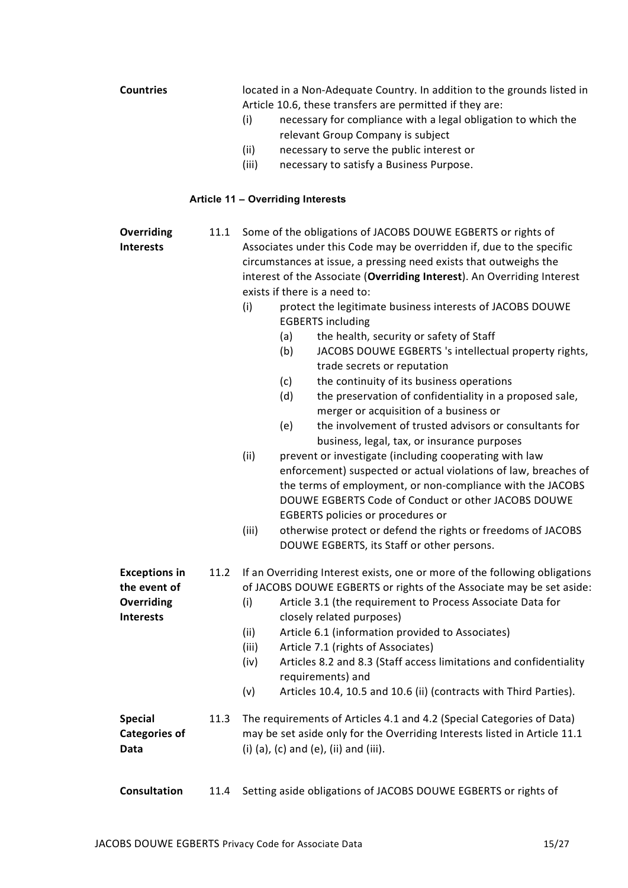|                      |      |       | Article 10.6, these transfers are permitted if they are:                                                                  |
|----------------------|------|-------|---------------------------------------------------------------------------------------------------------------------------|
|                      |      | (i)   | necessary for compliance with a legal obligation to which the                                                             |
|                      |      |       | relevant Group Company is subject                                                                                         |
|                      |      | (ii)  | necessary to serve the public interest or                                                                                 |
|                      |      | (iii) | necessary to satisfy a Business Purpose.                                                                                  |
|                      |      |       |                                                                                                                           |
|                      |      |       | Article 11 - Overriding Interests                                                                                         |
| Overriding           | 11.1 |       | Some of the obligations of JACOBS DOUWE EGBERTS or rights of                                                              |
| <b>Interests</b>     |      |       | Associates under this Code may be overridden if, due to the specific                                                      |
|                      |      |       | circumstances at issue, a pressing need exists that outweighs the                                                         |
|                      |      |       | interest of the Associate (Overriding Interest). An Overriding Interest                                                   |
|                      |      |       | exists if there is a need to:                                                                                             |
|                      |      | (i)   | protect the legitimate business interests of JACOBS DOUWE<br><b>EGBERTS including</b>                                     |
|                      |      |       | the health, security or safety of Staff<br>(a)                                                                            |
|                      |      |       | JACOBS DOUWE EGBERTS 's intellectual property rights,<br>(b)<br>trade secrets or reputation                               |
|                      |      |       | the continuity of its business operations<br>(c)                                                                          |
|                      |      |       | the preservation of confidentiality in a proposed sale,<br>(d)                                                            |
|                      |      |       | merger or acquisition of a business or                                                                                    |
|                      |      |       | the involvement of trusted advisors or consultants for<br>(e)                                                             |
|                      |      |       |                                                                                                                           |
|                      |      |       | business, legal, tax, or insurance purposes                                                                               |
|                      |      | (ii)  | prevent or investigate (including cooperating with law<br>enforcement) suspected or actual violations of law, breaches of |
|                      |      |       | the terms of employment, or non-compliance with the JACOBS                                                                |
|                      |      |       | DOUWE EGBERTS Code of Conduct or other JACOBS DOUWE                                                                       |
|                      |      |       |                                                                                                                           |
|                      |      |       | EGBERTS policies or procedures or                                                                                         |
|                      |      | (iii) | otherwise protect or defend the rights or freedoms of JACOBS<br>DOUWE EGBERTS, its Staff or other persons.                |
| <b>Exceptions in</b> |      |       | 11.2 If an Overriding Interest exists, one or more of the following obligations                                           |
| the event of         |      |       | of JACOBS DOUWE EGBERTS or rights of the Associate may be set aside:                                                      |
| Overriding           |      | (i)   | Article 3.1 (the requirement to Process Associate Data for                                                                |
| <b>Interests</b>     |      |       | closely related purposes)                                                                                                 |
|                      |      | (ii)  | Article 6.1 (information provided to Associates)                                                                          |
|                      |      | (iii) | Article 7.1 (rights of Associates)                                                                                        |
|                      |      |       |                                                                                                                           |
|                      |      | (iv)  | Articles 8.2 and 8.3 (Staff access limitations and confidentiality                                                        |
|                      |      |       | requirements) and                                                                                                         |
|                      |      | (v)   | Articles 10.4, 10.5 and 10.6 (ii) (contracts with Third Parties).                                                         |
| <b>Special</b>       | 11.3 |       | The requirements of Articles 4.1 and 4.2 (Special Categories of Data)                                                     |
| <b>Categories of</b> |      |       | may be set aside only for the Overriding Interests listed in Article 11.1                                                 |
| Data                 |      |       | (i) $(a)$ , $(c)$ and $(e)$ , $(ii)$ and $(iii)$ .                                                                        |
|                      |      |       |                                                                                                                           |
|                      |      |       |                                                                                                                           |

Countries located in a Non-Adequate Country. In addition to the grounds listed in

Consultation 11.4 Setting aside obligations of JACOBS DOUWE EGBERTS or rights of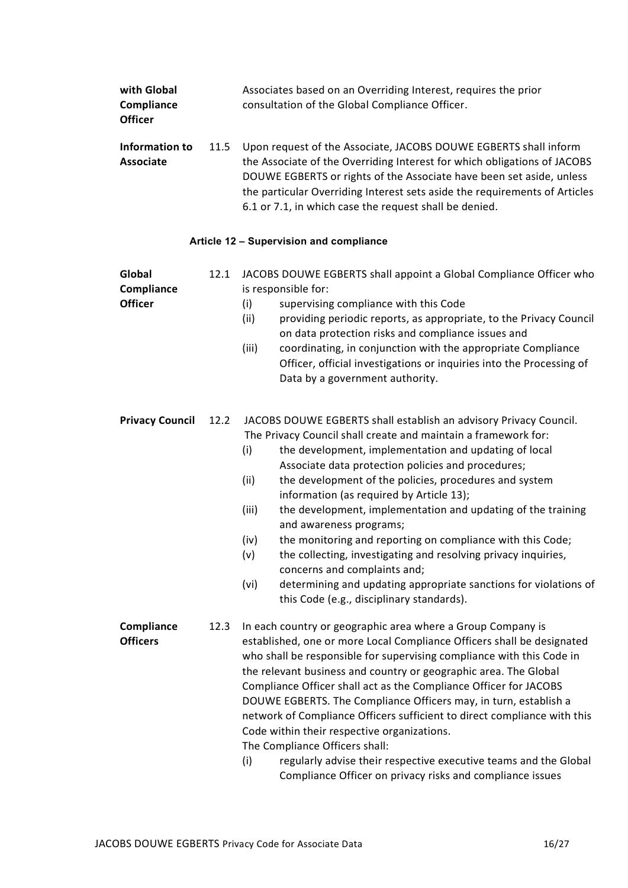| with Global<br>Compliance<br><b>Officer</b> |      | Associates based on an Overriding Interest, requires the prior<br>consultation of the Global Compliance Officer.                                                                                                                                                                                                                                             |
|---------------------------------------------|------|--------------------------------------------------------------------------------------------------------------------------------------------------------------------------------------------------------------------------------------------------------------------------------------------------------------------------------------------------------------|
| Information to<br><b>Associate</b>          | 11.5 | Upon request of the Associate, JACOBS DOUWE EGBERTS shall inform<br>the Associate of the Overriding Interest for which obligations of JACOBS<br>DOUWE EGBERTS or rights of the Associate have been set aside, unless<br>the particular Overriding Interest sets aside the requirements of Articles<br>6.1 or 7.1, in which case the request shall be denied. |

## Article 12 – Supervision and compliance

| Global<br>Compliance<br><b>Officer</b> | 12.1 | JACOBS DOUWE EGBERTS shall appoint a Global Compliance Officer who<br>is responsible for:<br>supervising compliance with this Code<br>(i)<br>(ii)<br>providing periodic reports, as appropriate, to the Privacy Council<br>on data protection risks and compliance issues and<br>(iii)<br>coordinating, in conjunction with the appropriate Compliance<br>Officer, official investigations or inquiries into the Processing of<br>Data by a government authority.                                                                                                                                                                                                                                                                                                                   |
|----------------------------------------|------|-------------------------------------------------------------------------------------------------------------------------------------------------------------------------------------------------------------------------------------------------------------------------------------------------------------------------------------------------------------------------------------------------------------------------------------------------------------------------------------------------------------------------------------------------------------------------------------------------------------------------------------------------------------------------------------------------------------------------------------------------------------------------------------|
| <b>Privacy Council</b>                 | 12.2 | JACOBS DOUWE EGBERTS shall establish an advisory Privacy Council.<br>The Privacy Council shall create and maintain a framework for:<br>(i)<br>the development, implementation and updating of local<br>Associate data protection policies and procedures;<br>the development of the policies, procedures and system<br>(ii)<br>information (as required by Article 13);<br>the development, implementation and updating of the training<br>(iii)<br>and awareness programs;<br>the monitoring and reporting on compliance with this Code;<br>(iv)<br>(v)<br>the collecting, investigating and resolving privacy inquiries,<br>concerns and complaints and;<br>(vi)<br>determining and updating appropriate sanctions for violations of<br>this Code (e.g., disciplinary standards). |
| Compliance<br><b>Officers</b>          | 12.3 | In each country or geographic area where a Group Company is<br>established, one or more Local Compliance Officers shall be designated<br>who shall be responsible for supervising compliance with this Code in<br>the relevant business and country or geographic area. The Global<br>Compliance Officer shall act as the Compliance Officer for JACOBS<br>DOUWE EGBERTS. The Compliance Officers may, in turn, establish a<br>network of Compliance Officers sufficient to direct compliance with this<br>Code within their respective organizations.<br>The Compliance Officers shall:<br>(i)<br>regularly advise their respective executive teams and the Global<br>Compliance Officer on privacy risks and compliance issues                                                    |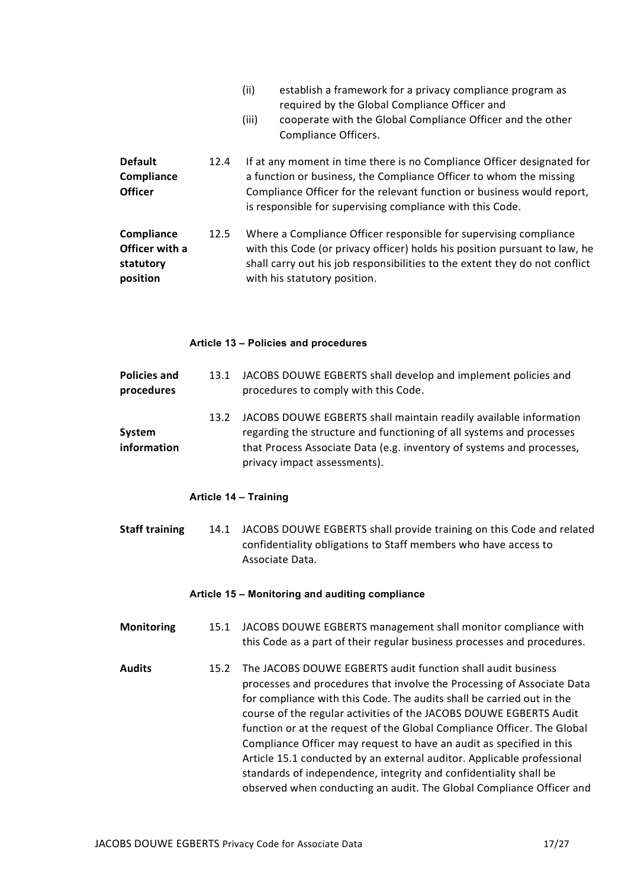|                                                       |      | (ii)<br>(iii) | establish a framework for a privacy compliance program as<br>required by the Global Compliance Officer and<br>cooperate with the Global Compliance Officer and the other<br>Compliance Officers.                                                                                    |
|-------------------------------------------------------|------|---------------|-------------------------------------------------------------------------------------------------------------------------------------------------------------------------------------------------------------------------------------------------------------------------------------|
| <b>Default</b><br>Compliance<br><b>Officer</b>        | 12.4 |               | If at any moment in time there is no Compliance Officer designated for<br>a function or business, the Compliance Officer to whom the missing<br>Compliance Officer for the relevant function or business would report,<br>is responsible for supervising compliance with this Code. |
| Compliance<br>Officer with a<br>statutory<br>position | 12.5 |               | Where a Compliance Officer responsible for supervising compliance<br>with this Code (or privacy officer) holds his position pursuant to law, he<br>shall carry out his job responsibilities to the extent they do not conflict<br>with his statutory position.                      |

#### Article 13 – Policies and procedures

| <b>Policies and</b><br>procedures | 13.1 | JACOBS DOUWE EGBERTS shall develop and implement policies and<br>procedures to comply with this Code.                                                                                                                                              |
|-----------------------------------|------|----------------------------------------------------------------------------------------------------------------------------------------------------------------------------------------------------------------------------------------------------|
| System<br>information             | 13.2 | JACOBS DOUWE EGBERTS shall maintain readily available information<br>regarding the structure and functioning of all systems and processes<br>that Process Associate Data (e.g. inventory of systems and processes,<br>privacy impact assessments). |

#### Article 14 – Training

Staff training 14.1 JACOBS DOUWE EGBERTS shall provide training on this Code and related confidentiality obligations to Staff members who have access to Associate Data.

#### Article 15 – Monitoring and auditing compliance

- Monitoring 15.1 JACOBS DOUWE EGBERTS management shall monitor compliance with this Code as a part of their regular business processes and procedures.
- Audits 15.2 The JACOBS DOUWE EGBERTS audit function shall audit business processes and procedures that involve the Processing of Associate Data for compliance with this Code. The audits shall be carried out in the course of the regular activities of the JACOBS DOUWE EGBERTS Audit function or at the request of the Global Compliance Officer. The Global Compliance Officer may request to have an audit as specified in this Article 15.1 conducted by an external auditor. Applicable professional standards of independence, integrity and confidentiality shall be observed when conducting an audit. The Global Compliance Officer and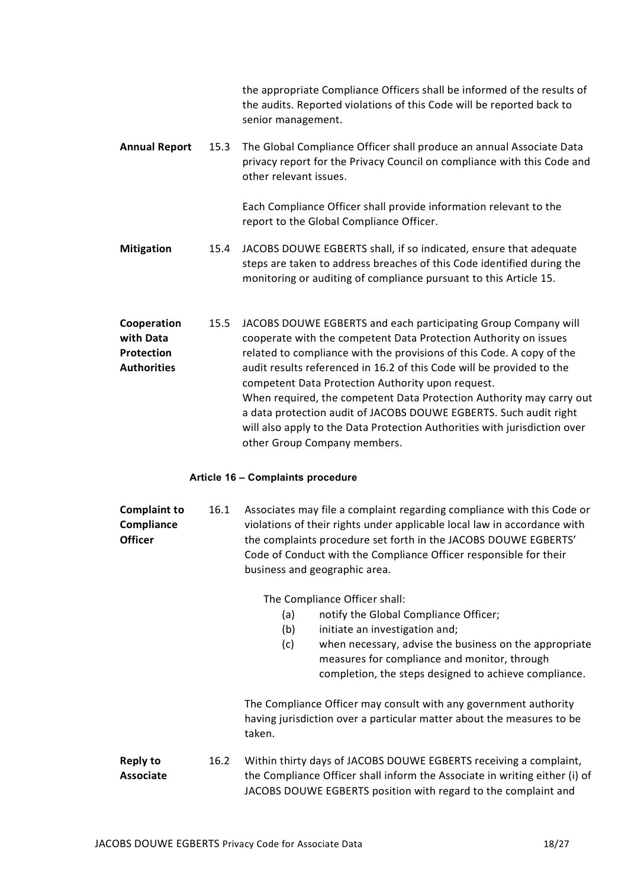|                                                                     |      | the appropriate Compliance Officers shall be informed of the results of<br>the audits. Reported violations of this Code will be reported back to<br>senior management.                                                                                                                                                                                                                                                                                                                 |
|---------------------------------------------------------------------|------|----------------------------------------------------------------------------------------------------------------------------------------------------------------------------------------------------------------------------------------------------------------------------------------------------------------------------------------------------------------------------------------------------------------------------------------------------------------------------------------|
| <b>Annual Report</b>                                                | 15.3 | The Global Compliance Officer shall produce an annual Associate Data<br>privacy report for the Privacy Council on compliance with this Code and<br>other relevant issues.                                                                                                                                                                                                                                                                                                              |
|                                                                     |      | Each Compliance Officer shall provide information relevant to the<br>report to the Global Compliance Officer.                                                                                                                                                                                                                                                                                                                                                                          |
| <b>Mitigation</b>                                                   | 15.4 | JACOBS DOUWE EGBERTS shall, if so indicated, ensure that adequate<br>steps are taken to address breaches of this Code identified during the<br>monitoring or auditing of compliance pursuant to this Article 15.                                                                                                                                                                                                                                                                       |
| Cooperation<br>with Data<br><b>Protection</b><br><b>Authorities</b> | 15.5 | JACOBS DOUWE EGBERTS and each participating Group Company will<br>cooperate with the competent Data Protection Authority on issues<br>related to compliance with the provisions of this Code. A copy of the<br>audit results referenced in 16.2 of this Code will be provided to the<br>competent Data Protection Authority upon request.<br>When required, the competent Data Protection Authority may carry out<br>a data protection audit of JACOBS DOUWE EGBERTS. Such audit right |

## Article 16 – Complaints procedure

| <b>Complaint to</b> | 16.1 | Associates may file a complaint regarding compliance with this Code or   |
|---------------------|------|--------------------------------------------------------------------------|
| Compliance          |      | violations of their rights under applicable local law in accordance with |
| <b>Officer</b>      |      | the complaints procedure set forth in the JACOBS DOUWE EGBERTS'          |
|                     |      | Code of Conduct with the Compliance Officer responsible for their        |
|                     |      | business and geographic area.                                            |

The Compliance Officer shall:

other Group Company members.

- (a) notify the Global Compliance Officer;
- (b) initiate an investigation and;
- (c) when necessary, advise the business on the appropriate measures for compliance and monitor, through completion, the steps designed to achieve compliance.

The Compliance Officer may consult with any government authority having jurisdiction over a particular matter about the measures to be taken.

will also apply to the Data Protection Authorities with jurisdiction over

Reply to Associate 16.2 Within thirty days of JACOBS DOUWE EGBERTS receiving a complaint, the Compliance Officer shall inform the Associate in writing either (i) of JACOBS DOUWE EGBERTS position with regard to the complaint and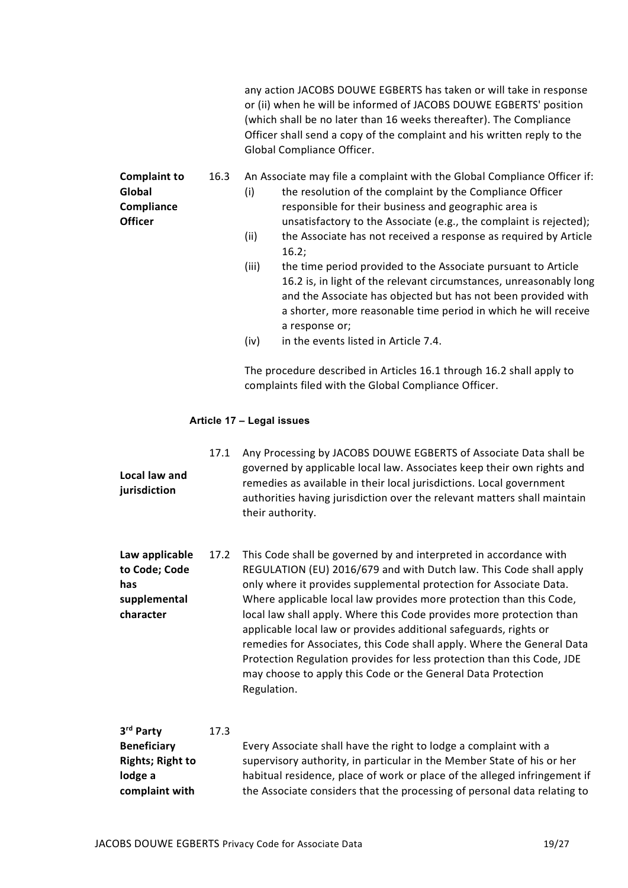any action JACOBS DOUWE EGBERTS has taken or will take in response or (ii) when he will be informed of JACOBS DOUWE EGBERTS' position (which shall be no later than 16 weeks thereafter). The Compliance Officer shall send a copy of the complaint and his written reply to the Global Compliance Officer.

Complaint to Global **Compliance Officer** 

- 16.3 An Associate may file a complaint with the Global Compliance Officer if:
	- (i) the resolution of the complaint by the Compliance Officer responsible for their business and geographic area is unsatisfactory to the Associate (e.g., the complaint is rejected); (ii) the Associate has not received a response as required by Article
	- 16.2;
	- (iii) the time period provided to the Associate pursuant to Article 16.2 is, in light of the relevant circumstances, unreasonably long and the Associate has objected but has not been provided with a shorter, more reasonable time period in which he will receive a response or;
	- (iv) in the events listed in Article 7.4.

The procedure described in Articles 16.1 through 16.2 shall apply to complaints filed with the Global Compliance Officer.

## Article 17 – Legal issues

Local law and jurisdiction 17.1 Any Processing by JACOBS DOUWE EGBERTS of Associate Data shall be governed by applicable local law. Associates keep their own rights and remedies as available in their local jurisdictions. Local government authorities having jurisdiction over the relevant matters shall maintain their authority.

Law applicable to Code; Code has supplemental character 17.2 This Code shall be governed by and interpreted in accordance with REGULATION (EU) 2016/679 and with Dutch law. This Code shall apply only where it provides supplemental protection for Associate Data. Where applicable local law provides more protection than this Code, local law shall apply. Where this Code provides more protection than applicable local law or provides additional safeguards, rights or remedies for Associates, this Code shall apply. Where the General Data Protection Regulation provides for less protection than this Code, JDE may choose to apply this Code or the General Data Protection Regulation.

#### 3<sup>rd</sup> Party 17.3

| <b>Beneficiary</b>      | Every Associate shall have the right to lodge a complaint with a          |
|-------------------------|---------------------------------------------------------------------------|
| <b>Rights; Right to</b> | supervisory authority, in particular in the Member State of his or her    |
| lodge a                 | habitual residence, place of work or place of the alleged infringement if |
| complaint with          | the Associate considers that the processing of personal data relating to  |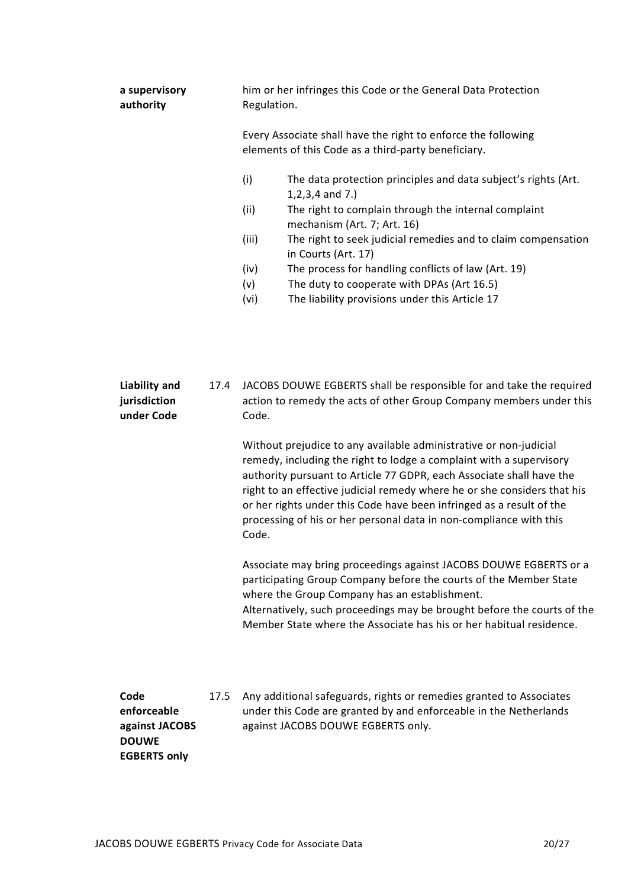| a supervisory<br>authority           |      | him or her infringes this Code or the General Data Protection<br>Regulation.                                                                                                                                                                                                                                                                                                                                                                                 |
|--------------------------------------|------|--------------------------------------------------------------------------------------------------------------------------------------------------------------------------------------------------------------------------------------------------------------------------------------------------------------------------------------------------------------------------------------------------------------------------------------------------------------|
|                                      |      | Every Associate shall have the right to enforce the following<br>elements of this Code as a third-party beneficiary.                                                                                                                                                                                                                                                                                                                                         |
|                                      |      | (i)<br>The data protection principles and data subject's rights (Art.<br>$1, 2, 3, 4$ and 7.)<br>(ii)<br>The right to complain through the internal complaint<br>mechanism (Art. 7; Art. 16)                                                                                                                                                                                                                                                                 |
|                                      |      | The right to seek judicial remedies and to claim compensation<br>(iii)<br>in Courts (Art. 17)                                                                                                                                                                                                                                                                                                                                                                |
|                                      |      | The process for handling conflicts of law (Art. 19)<br>(iv)<br>The duty to cooperate with DPAs (Art 16.5)<br>(v)<br>(vi)<br>The liability provisions under this Article 17                                                                                                                                                                                                                                                                                   |
| <b>Liability and</b><br>jurisdiction | 17.4 | JACOBS DOUWE EGBERTS shall be responsible for and take the required<br>action to remedy the acts of other Group Company members under this                                                                                                                                                                                                                                                                                                                   |
| under Code                           |      | Code.<br>Without prejudice to any available administrative or non-judicial<br>remedy, including the right to lodge a complaint with a supervisory<br>authority pursuant to Article 77 GDPR, each Associate shall have the<br>right to an effective judicial remedy where he or she considers that his<br>or her rights under this Code have been infringed as a result of the<br>processing of his or her personal data in non-compliance with this<br>Code. |
|                                      |      | Associate may bring proceedings against JACOBS DOUWE EGBERTS or a<br>participating Group Company before the courts of the Member State<br>where the Group Company has an establishment.<br>Alternatively, such proceedings may be brought before the courts of the<br>Member State where the Associate has his or her habitual residence.                                                                                                                    |

Code enforceable against JACOBS DOUWE EGBERTS only

17.5 Any additional safeguards, rights or remedies granted to Associates under this Code are granted by and enforceable in the Netherlands against JACOBS DOUWE EGBERTS only.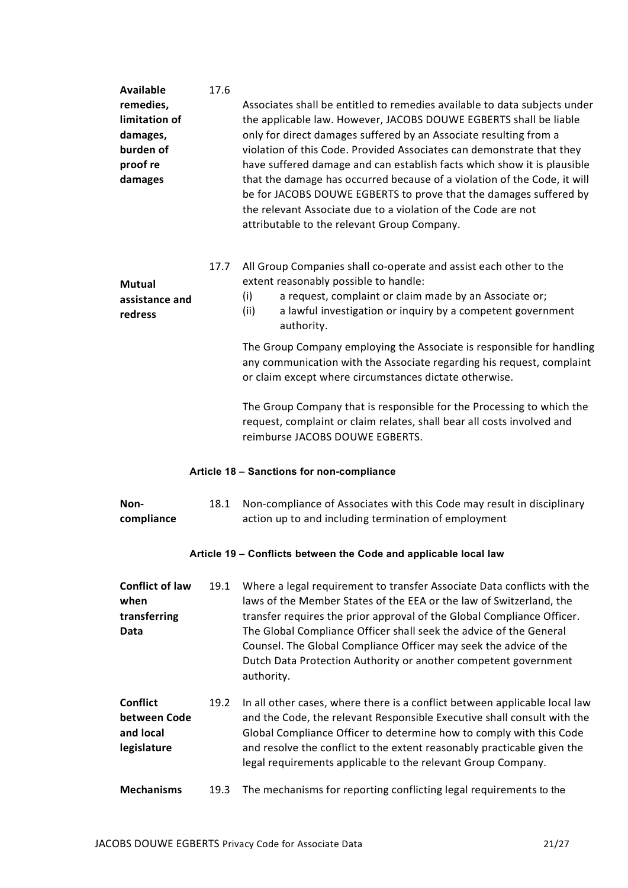| <b>Available</b><br>remedies,<br>limitation of              | 17.6 | Associates shall be entitled to remedies available to data subjects under<br>the applicable law. However, JACOBS DOUWE EGBERTS shall be liable                                                                                                                                                                                                                                                                                                                                         |
|-------------------------------------------------------------|------|----------------------------------------------------------------------------------------------------------------------------------------------------------------------------------------------------------------------------------------------------------------------------------------------------------------------------------------------------------------------------------------------------------------------------------------------------------------------------------------|
| damages,<br>burden of<br>proof re<br>damages                |      | only for direct damages suffered by an Associate resulting from a<br>violation of this Code. Provided Associates can demonstrate that they<br>have suffered damage and can establish facts which show it is plausible<br>that the damage has occurred because of a violation of the Code, it will<br>be for JACOBS DOUWE EGBERTS to prove that the damages suffered by<br>the relevant Associate due to a violation of the Code are not<br>attributable to the relevant Group Company. |
| <b>Mutual</b><br>assistance and<br>redress                  | 17.7 | All Group Companies shall co-operate and assist each other to the<br>extent reasonably possible to handle:<br>a request, complaint or claim made by an Associate or;<br>(i)<br>(ii)<br>a lawful investigation or inquiry by a competent government<br>authority.                                                                                                                                                                                                                       |
|                                                             |      | The Group Company employing the Associate is responsible for handling<br>any communication with the Associate regarding his request, complaint<br>or claim except where circumstances dictate otherwise.                                                                                                                                                                                                                                                                               |
|                                                             |      | The Group Company that is responsible for the Processing to which the<br>request, complaint or claim relates, shall bear all costs involved and<br>reimburse JACOBS DOUWE EGBERTS.                                                                                                                                                                                                                                                                                                     |
|                                                             |      | Article 18 - Sanctions for non-compliance                                                                                                                                                                                                                                                                                                                                                                                                                                              |
| Non-<br>compliance                                          | 18.1 | Non-compliance of Associates with this Code may result in disciplinary<br>action up to and including termination of employment                                                                                                                                                                                                                                                                                                                                                         |
|                                                             |      | Article 19 - Conflicts between the Code and applicable local law                                                                                                                                                                                                                                                                                                                                                                                                                       |
| <b>Conflict of law</b><br>when<br>transferring<br>Data      | 19.1 | Where a legal requirement to transfer Associate Data conflicts with the<br>laws of the Member States of the EEA or the law of Switzerland, the<br>transfer requires the prior approval of the Global Compliance Officer.<br>The Global Compliance Officer shall seek the advice of the General<br>Counsel. The Global Compliance Officer may seek the advice of the<br>Dutch Data Protection Authority or another competent government<br>authority.                                   |
| <b>Conflict</b><br>between Code<br>and local<br>legislature | 19.2 | In all other cases, where there is a conflict between applicable local law<br>and the Code, the relevant Responsible Executive shall consult with the<br>Global Compliance Officer to determine how to comply with this Code<br>and resolve the conflict to the extent reasonably practicable given the<br>legal requirements applicable to the relevant Group Company.                                                                                                                |
| <b>Mechanisms</b>                                           | 19.3 | The mechanisms for reporting conflicting legal requirements to the                                                                                                                                                                                                                                                                                                                                                                                                                     |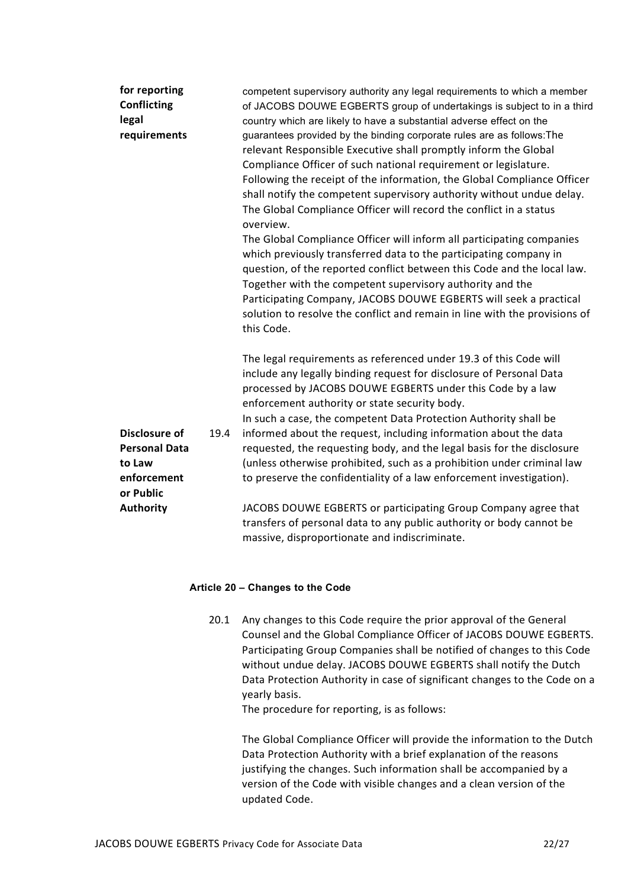| for reporting<br><b>Conflicting</b><br>legal<br>requirements                                           |      | competent supervisory authority any legal requirements to which a member<br>of JACOBS DOUWE EGBERTS group of undertakings is subject to in a third<br>country which are likely to have a substantial adverse effect on the<br>guarantees provided by the binding corporate rules are as follows: The<br>relevant Responsible Executive shall promptly inform the Global<br>Compliance Officer of such national requirement or legislature.<br>Following the receipt of the information, the Global Compliance Officer<br>shall notify the competent supervisory authority without undue delay.<br>The Global Compliance Officer will record the conflict in a status<br>overview.             |
|--------------------------------------------------------------------------------------------------------|------|-----------------------------------------------------------------------------------------------------------------------------------------------------------------------------------------------------------------------------------------------------------------------------------------------------------------------------------------------------------------------------------------------------------------------------------------------------------------------------------------------------------------------------------------------------------------------------------------------------------------------------------------------------------------------------------------------|
|                                                                                                        |      | The Global Compliance Officer will inform all participating companies<br>which previously transferred data to the participating company in<br>question, of the reported conflict between this Code and the local law.<br>Together with the competent supervisory authority and the<br>Participating Company, JACOBS DOUWE EGBERTS will seek a practical<br>solution to resolve the conflict and remain in line with the provisions of<br>this Code.                                                                                                                                                                                                                                           |
| <b>Disclosure of</b><br><b>Personal Data</b><br>to Law<br>enforcement<br>or Public<br><b>Authority</b> | 19.4 | The legal requirements as referenced under 19.3 of this Code will<br>include any legally binding request for disclosure of Personal Data<br>processed by JACOBS DOUWE EGBERTS under this Code by a law<br>enforcement authority or state security body.<br>In such a case, the competent Data Protection Authority shall be<br>informed about the request, including information about the data<br>requested, the requesting body, and the legal basis for the disclosure<br>(unless otherwise prohibited, such as a prohibition under criminal law<br>to preserve the confidentiality of a law enforcement investigation).<br>JACOBS DOUWE EGBERTS or participating Group Company agree that |
|                                                                                                        |      | transfers of personal data to any public authority or body cannot be<br>massive, disproportionate and indiscriminate.                                                                                                                                                                                                                                                                                                                                                                                                                                                                                                                                                                         |

## Article 20 – Changes to the Code

20.1 Any changes to this Code require the prior approval of the General Counsel and the Global Compliance Officer of JACOBS DOUWE EGBERTS. Participating Group Companies shall be notified of changes to this Code without undue delay. JACOBS DOUWE EGBERTS shall notify the Dutch Data Protection Authority in case of significant changes to the Code on a yearly basis.

The procedure for reporting, is as follows:

The Global Compliance Officer will provide the information to the Dutch Data Protection Authority with a brief explanation of the reasons justifying the changes. Such information shall be accompanied by a version of the Code with visible changes and a clean version of the updated Code.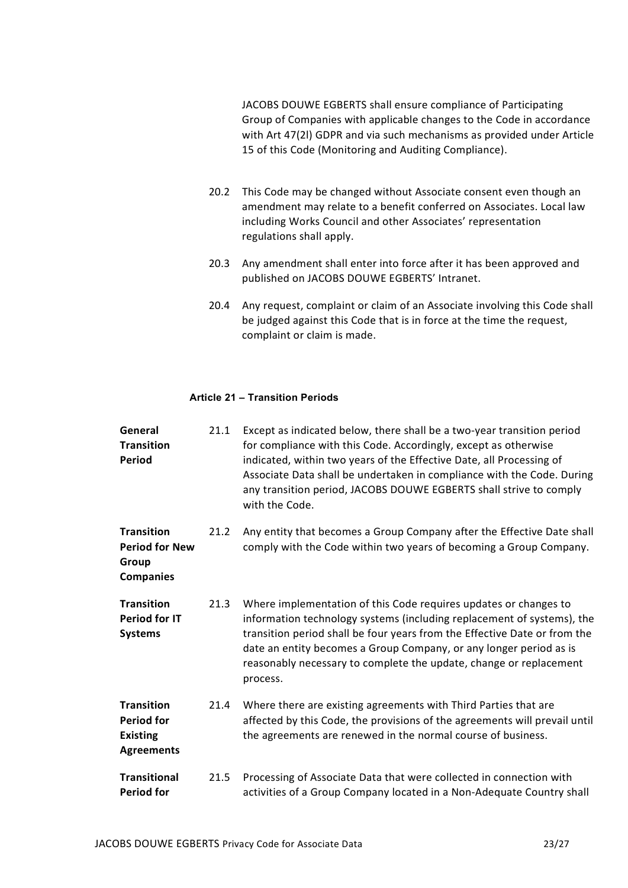JACOBS DOUWE EGBERTS shall ensure compliance of Participating Group of Companies with applicable changes to the Code in accordance with Art 47(2l) GDPR and via such mechanisms as provided under Article 15 of this Code (Monitoring and Auditing Compliance).

- 20.2 This Code may be changed without Associate consent even though an amendment may relate to a benefit conferred on Associates. Local law including Works Council and other Associates' representation regulations shall apply.
- 20.3 Any amendment shall enter into force after it has been approved and published on JACOBS DOUWE EGBERTS' Intranet.
- 20.4 Any request, complaint or claim of an Associate involving this Code shall be judged against this Code that is in force at the time the request, complaint or claim is made.

## Article 21 – Transition Periods

| General<br><b>Transition</b><br><b>Period</b>                                  | 21.1 | Except as indicated below, there shall be a two-year transition period<br>for compliance with this Code. Accordingly, except as otherwise<br>indicated, within two years of the Effective Date, all Processing of<br>Associate Data shall be undertaken in compliance with the Code. During<br>any transition period, JACOBS DOUWE EGBERTS shall strive to comply<br>with the Code. |
|--------------------------------------------------------------------------------|------|-------------------------------------------------------------------------------------------------------------------------------------------------------------------------------------------------------------------------------------------------------------------------------------------------------------------------------------------------------------------------------------|
| <b>Transition</b><br><b>Period for New</b><br>Group<br><b>Companies</b>        | 21.2 | Any entity that becomes a Group Company after the Effective Date shall<br>comply with the Code within two years of becoming a Group Company.                                                                                                                                                                                                                                        |
| <b>Transition</b><br><b>Period for IT</b><br><b>Systems</b>                    | 21.3 | Where implementation of this Code requires updates or changes to<br>information technology systems (including replacement of systems), the<br>transition period shall be four years from the Effective Date or from the<br>date an entity becomes a Group Company, or any longer period as is<br>reasonably necessary to complete the update, change or replacement<br>process.     |
| <b>Transition</b><br><b>Period for</b><br><b>Existing</b><br><b>Agreements</b> | 21.4 | Where there are existing agreements with Third Parties that are<br>affected by this Code, the provisions of the agreements will prevail until<br>the agreements are renewed in the normal course of business.                                                                                                                                                                       |
| <b>Transitional</b><br><b>Period for</b>                                       | 21.5 | Processing of Associate Data that were collected in connection with<br>activities of a Group Company located in a Non-Adequate Country shall                                                                                                                                                                                                                                        |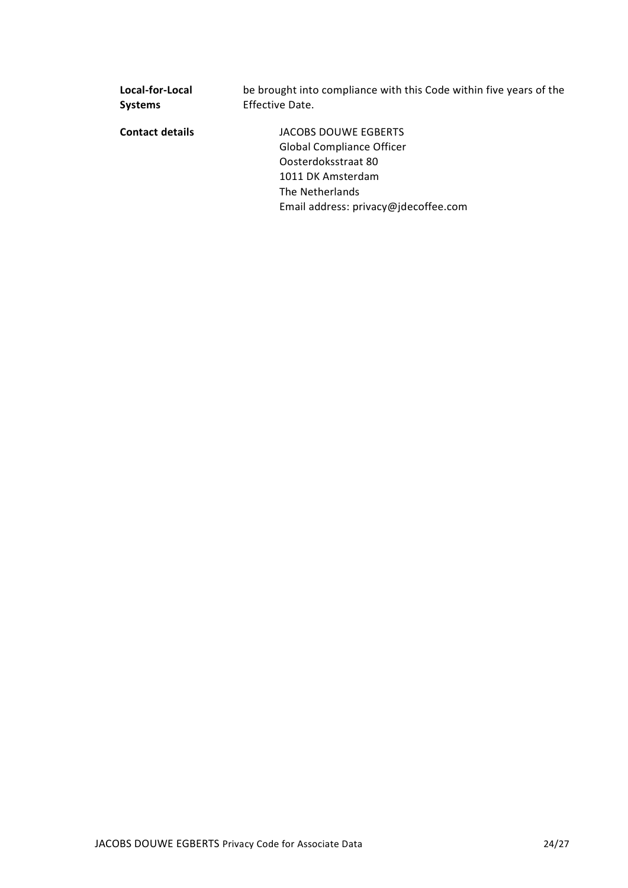| Local-for-Local        | be brought into compliance with this Code within five years of the |  |  |
|------------------------|--------------------------------------------------------------------|--|--|
| <b>Systems</b>         | Effective Date.                                                    |  |  |
| <b>Contact details</b> | JACOBS DOUWE EGBERTS                                               |  |  |
|                        | <b>Global Compliance Officer</b>                                   |  |  |
|                        | Oosterdoksstraat 80                                                |  |  |
|                        | 1011 DK Amsterdam                                                  |  |  |
|                        | The Netherlands                                                    |  |  |
|                        | Email address: privacy@jdecoffee.com                               |  |  |
|                        |                                                                    |  |  |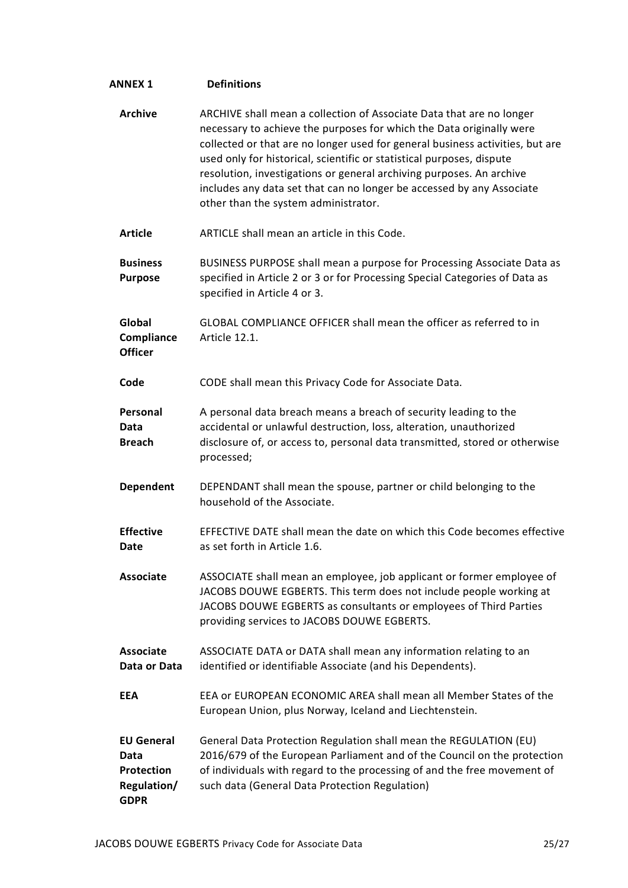| <b>ANNEX 1</b>                                                        | <b>Definitions</b>                                                                                                                                                                                                                                                                                                                                                                                                                                                                              |
|-----------------------------------------------------------------------|-------------------------------------------------------------------------------------------------------------------------------------------------------------------------------------------------------------------------------------------------------------------------------------------------------------------------------------------------------------------------------------------------------------------------------------------------------------------------------------------------|
| <b>Archive</b>                                                        | ARCHIVE shall mean a collection of Associate Data that are no longer<br>necessary to achieve the purposes for which the Data originally were<br>collected or that are no longer used for general business activities, but are<br>used only for historical, scientific or statistical purposes, dispute<br>resolution, investigations or general archiving purposes. An archive<br>includes any data set that can no longer be accessed by any Associate<br>other than the system administrator. |
| <b>Article</b>                                                        | ARTICLE shall mean an article in this Code.                                                                                                                                                                                                                                                                                                                                                                                                                                                     |
| <b>Business</b><br><b>Purpose</b>                                     | BUSINESS PURPOSE shall mean a purpose for Processing Associate Data as<br>specified in Article 2 or 3 or for Processing Special Categories of Data as<br>specified in Article 4 or 3.                                                                                                                                                                                                                                                                                                           |
| Global<br>Compliance<br><b>Officer</b>                                | GLOBAL COMPLIANCE OFFICER shall mean the officer as referred to in<br>Article 12.1.                                                                                                                                                                                                                                                                                                                                                                                                             |
| Code                                                                  | CODE shall mean this Privacy Code for Associate Data.                                                                                                                                                                                                                                                                                                                                                                                                                                           |
| Personal<br>Data<br><b>Breach</b>                                     | A personal data breach means a breach of security leading to the<br>accidental or unlawful destruction, loss, alteration, unauthorized<br>disclosure of, or access to, personal data transmitted, stored or otherwise<br>processed;                                                                                                                                                                                                                                                             |
| <b>Dependent</b>                                                      | DEPENDANT shall mean the spouse, partner or child belonging to the<br>household of the Associate.                                                                                                                                                                                                                                                                                                                                                                                               |
| <b>Effective</b><br>Date                                              | EFFECTIVE DATE shall mean the date on which this Code becomes effective<br>as set forth in Article 1.6.                                                                                                                                                                                                                                                                                                                                                                                         |
| <b>Associate</b>                                                      | ASSOCIATE shall mean an employee, job applicant or former employee of<br>JACOBS DOUWE EGBERTS. This term does not include people working at<br>JACOBS DOUWE EGBERTS as consultants or employees of Third Parties<br>providing services to JACOBS DOUWE EGBERTS.                                                                                                                                                                                                                                 |
| <b>Associate</b><br>Data or Data                                      | ASSOCIATE DATA or DATA shall mean any information relating to an<br>identified or identifiable Associate (and his Dependents).                                                                                                                                                                                                                                                                                                                                                                  |
| <b>EEA</b>                                                            | EEA or EUROPEAN ECONOMIC AREA shall mean all Member States of the<br>European Union, plus Norway, Iceland and Liechtenstein.                                                                                                                                                                                                                                                                                                                                                                    |
| <b>EU General</b><br>Data<br>Protection<br>Regulation/<br><b>GDPR</b> | General Data Protection Regulation shall mean the REGULATION (EU)<br>2016/679 of the European Parliament and of the Council on the protection<br>of individuals with regard to the processing of and the free movement of<br>such data (General Data Protection Regulation)                                                                                                                                                                                                                     |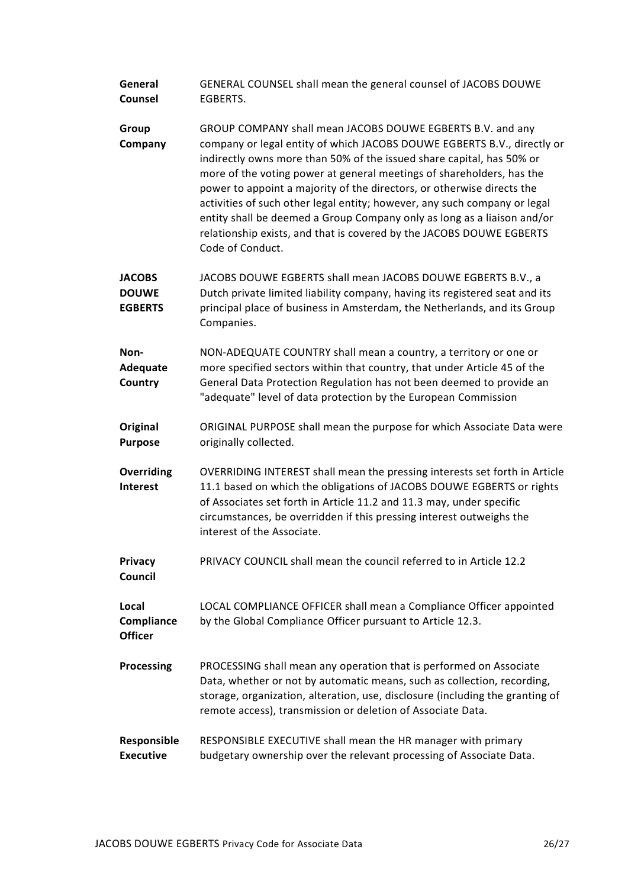| General | GENERAL COUNSEL shall mean the general counsel of JACOBS DOUWE |
|---------|----------------------------------------------------------------|
| Counsel | EGBERTS.                                                       |

- Group Company GROUP COMPANY shall mean JACOBS DOUWE EGBERTS B.V. and any company or legal entity of which JACOBS DOUWE EGBERTS B.V., directly or indirectly owns more than 50% of the issued share capital, has 50% or more of the voting power at general meetings of shareholders, has the power to appoint a majority of the directors, or otherwise directs the activities of such other legal entity; however, any such company or legal entity shall be deemed a Group Company only as long as a liaison and/or relationship exists, and that is covered by the JACOBS DOUWE EGBERTS Code of Conduct.
- JACOBS **DOUWE EGBERTS** JACOBS DOUWE EGBERTS shall mean JACOBS DOUWE EGBERTS B.V., a Dutch private limited liability company, having its registered seat and its principal place of business in Amsterdam, the Netherlands, and its Group Companies.

Non-**Adequate Country** NON-ADEQUATE COUNTRY shall mean a country, a territory or one or more specified sectors within that country, that under Article 45 of the General Data Protection Regulation has not been deemed to provide an "adequate" level of data protection by the European Commission

Original Purpose ORIGINAL PURPOSE shall mean the purpose for which Associate Data were originally collected.

**Overriding** Interest OVERRIDING INTEREST shall mean the pressing interests set forth in Article 11.1 based on which the obligations of JACOBS DOUWE EGBERTS or rights of Associates set forth in Article 11.2 and 11.3 may, under specific circumstances, be overridden if this pressing interest outweighs the interest of the Associate.

**Privacy** Council PRIVACY COUNCIL shall mean the council referred to in Article 12.2

Local **Compliance Officer** LOCAL COMPLIANCE OFFICER shall mean a Compliance Officer appointed by the Global Compliance Officer pursuant to Article 12.3.

Processing PROCESSING shall mean any operation that is performed on Associate Data, whether or not by automatic means, such as collection, recording, storage, organization, alteration, use, disclosure (including the granting of remote access), transmission or deletion of Associate Data.

#### Responsible Executive RESPONSIBLE EXECUTIVE shall mean the HR manager with primary budgetary ownership over the relevant processing of Associate Data.